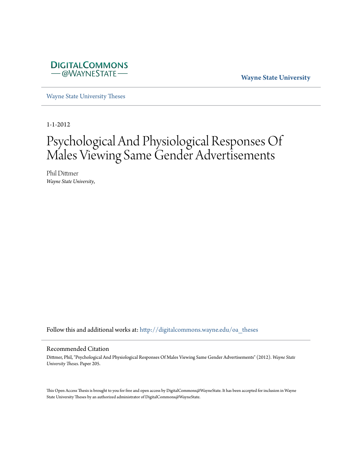

**Wayne State University**

[Wayne State University Theses](http://digitalcommons.wayne.edu/oa_theses?utm_source=digitalcommons.wayne.edu%2Foa_theses%2F205&utm_medium=PDF&utm_campaign=PDFCoverPages)

1-1-2012

# Psychological And Physiological Responses Of Males Viewing Same Gender Advertisements

Phil Dittmer *Wayne State University*,

Follow this and additional works at: [http://digitalcommons.wayne.edu/oa\\_theses](http://digitalcommons.wayne.edu/oa_theses?utm_source=digitalcommons.wayne.edu%2Foa_theses%2F205&utm_medium=PDF&utm_campaign=PDFCoverPages)

#### Recommended Citation

Dittmer, Phil, "Psychological And Physiological Responses Of Males Viewing Same Gender Advertisements" (2012). *Wayne State University Theses.* Paper 205.

This Open Access Thesis is brought to you for free and open access by DigitalCommons@WayneState. It has been accepted for inclusion in Wayne State University Theses by an authorized administrator of DigitalCommons@WayneState.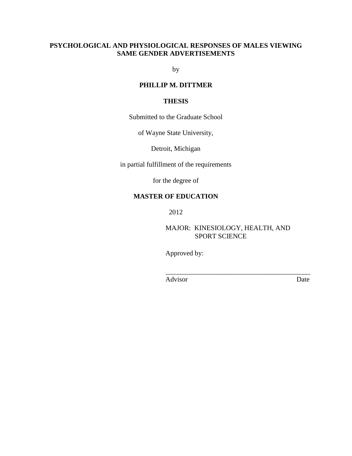## **PSYCHOLOGICAL AND PHYSIOLOGICAL RESPONSES OF MALES VIEWING SAME GENDER ADVERTISEMENTS**

by

# **PHILLIP M. DITTMER**

## **THESIS**

Submitted to the Graduate School

of Wayne State University,

Detroit, Michigan

in partial fulfillment of the requirements

for the degree of

## **MASTER OF EDUCATION**

2012

MAJOR: KINESIOLOGY, HEALTH, AND SPORT SCIENCE

Approved by:

 $\overline{\phantom{a}}$  , which is a set of the set of the set of the set of the set of the set of the set of the set of the set of the set of the set of the set of the set of the set of the set of the set of the set of the set of th Advisor Date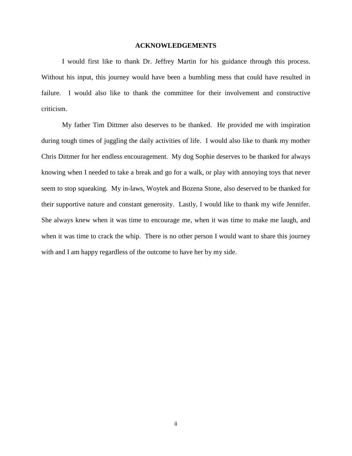#### **ACKNOWLEDGEMENTS**

 I would first like to thank Dr. Jeffrey Martin for his guidance through this process. Without his input, this journey would have been a bumbling mess that could have resulted in failure. I would also like to thank the committee for their involvement and constructive criticism.

 My father Tim Dittmer also deserves to be thanked. He provided me with inspiration during tough times of juggling the daily activities of life. I would also like to thank my mother Chris Dittmer for her endless encouragement. My dog Sophie deserves to be thanked for always knowing when I needed to take a break and go for a walk, or play with annoying toys that never seem to stop squeaking. My in-laws, Woytek and Bozena Stone, also deserved to be thanked for their supportive nature and constant generosity. Lastly, I would like to thank my wife Jennifer. She always knew when it was time to encourage me, when it was time to make me laugh, and when it was time to crack the whip. There is no other person I would want to share this journey with and I am happy regardless of the outcome to have her by my side.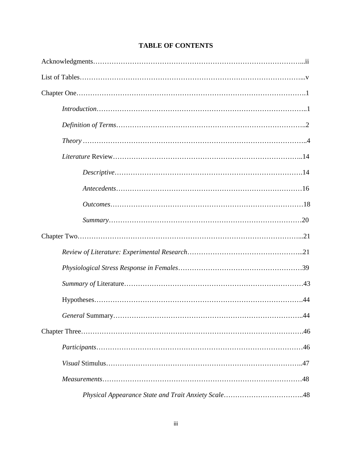| $Theory \dots 1.14$ |
|---------------------|
|                     |
|                     |
|                     |
|                     |
|                     |
|                     |
|                     |
|                     |
|                     |
|                     |
|                     |
|                     |
|                     |
|                     |
|                     |
|                     |

# **TABLE OF CONTENTS**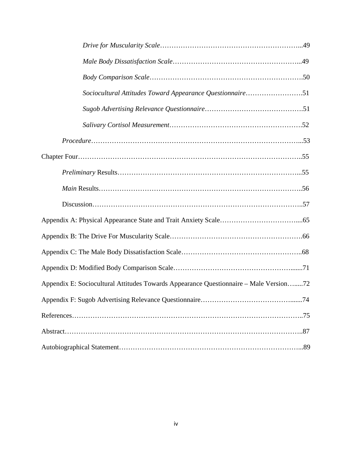| Sociocultural Attitudes Toward Appearance Questionnaire51                             |
|---------------------------------------------------------------------------------------|
|                                                                                       |
|                                                                                       |
|                                                                                       |
|                                                                                       |
|                                                                                       |
|                                                                                       |
|                                                                                       |
|                                                                                       |
|                                                                                       |
|                                                                                       |
|                                                                                       |
| Appendix E: Sociocultural Attitudes Towards Appearance Questionnaire - Male Version72 |
|                                                                                       |
|                                                                                       |
|                                                                                       |
|                                                                                       |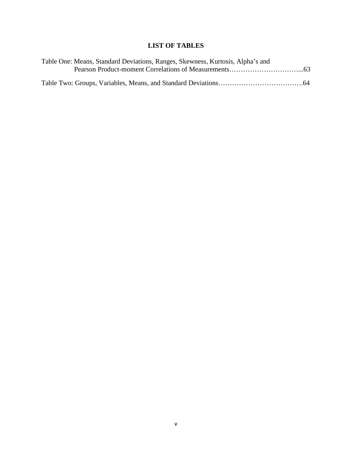# **LIST OF TABLES**

| Table One: Means, Standard Deviations, Ranges, Skewness, Kurtosis, Alpha's and |  |
|--------------------------------------------------------------------------------|--|
|                                                                                |  |
|                                                                                |  |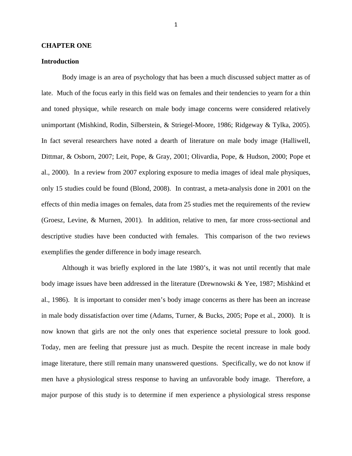#### **CHAPTER ONE**

#### **Introduction**

Body image is an area of psychology that has been a much discussed subject matter as of late. Much of the focus early in this field was on females and their tendencies to yearn for a thin and toned physique, while research on male body image concerns were considered relatively unimportant (Mishkind, Rodin, Silberstein, & Striegel-Moore, 1986; Ridgeway & Tylka, 2005). In fact several researchers have noted a dearth of literature on male body image (Halliwell, Dittmar, & Osborn, 2007; Leit, Pope, & Gray, 2001; Olivardia, Pope, & Hudson, 2000; Pope et al., 2000). In a review from 2007 exploring exposure to media images of ideal male physiques, only 15 studies could be found (Blond, 2008). In contrast, a meta-analysis done in 2001 on the effects of thin media images on females, data from 25 studies met the requirements of the review (Groesz, Levine, & Murnen, 2001). In addition, relative to men, far more cross-sectional and descriptive studies have been conducted with females. This comparison of the two reviews exemplifies the gender difference in body image research.

Although it was briefly explored in the late 1980's, it was not until recently that male body image issues have been addressed in the literature (Drewnowski & Yee, 1987; Mishkind et al., 1986). It is important to consider men's body image concerns as there has been an increase in male body dissatisfaction over time (Adams, Turner, & Bucks, 2005; Pope et al., 2000). It is now known that girls are not the only ones that experience societal pressure to look good. Today, men are feeling that pressure just as much. Despite the recent increase in male body image literature, there still remain many unanswered questions. Specifically, we do not know if men have a physiological stress response to having an unfavorable body image. Therefore, a major purpose of this study is to determine if men experience a physiological stress response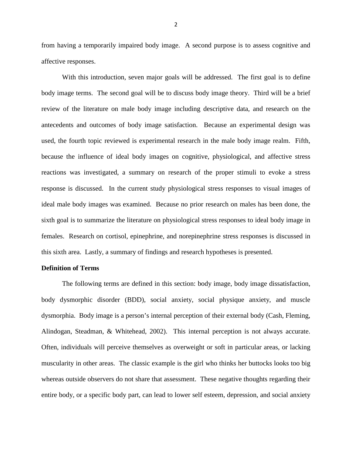from having a temporarily impaired body image. A second purpose is to assess cognitive and affective responses.

With this introduction, seven major goals will be addressed. The first goal is to define body image terms. The second goal will be to discuss body image theory. Third will be a brief review of the literature on male body image including descriptive data, and research on the antecedents and outcomes of body image satisfaction. Because an experimental design was used, the fourth topic reviewed is experimental research in the male body image realm. Fifth, because the influence of ideal body images on cognitive, physiological, and affective stress reactions was investigated, a summary on research of the proper stimuli to evoke a stress response is discussed. In the current study physiological stress responses to visual images of ideal male body images was examined. Because no prior research on males has been done, the sixth goal is to summarize the literature on physiological stress responses to ideal body image in females. Research on cortisol, epinephrine, and norepinephrine stress responses is discussed in this sixth area. Lastly, a summary of findings and research hypotheses is presented.

#### **Definition of Terms**

The following terms are defined in this section: body image, body image dissatisfaction, body dysmorphic disorder (BDD), social anxiety, social physique anxiety, and muscle dysmorphia.Body image is a person's internal perception of their external body (Cash, Fleming, Alindogan, Steadman, & Whitehead, 2002). This internal perception is not always accurate. Often, individuals will perceive themselves as overweight or soft in particular areas, or lacking muscularity in other areas. The classic example is the girl who thinks her buttocks looks too big whereas outside observers do not share that assessment. These negative thoughts regarding their entire body, or a specific body part, can lead to lower self esteem, depression, and social anxiety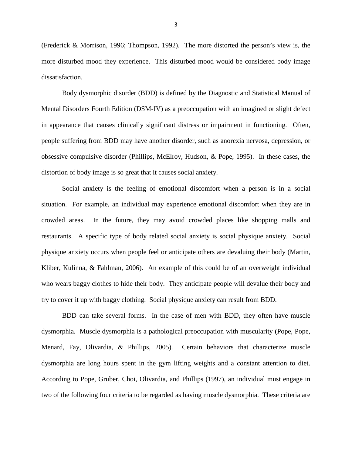(Frederick & Morrison, 1996; Thompson, 1992). The more distorted the person's view is, the more disturbed mood they experience. This disturbed mood would be considered body image dissatisfaction.

Body dysmorphic disorder (BDD) is defined by the Diagnostic and Statistical Manual of Mental Disorders Fourth Edition (DSM-IV) as a preoccupation with an imagined or slight defect in appearance that causes clinically significant distress or impairment in functioning. Often, people suffering from BDD may have another disorder, such as anorexia nervosa, depression, or obsessive compulsive disorder (Phillips, McElroy, Hudson, & Pope, 1995). In these cases, the distortion of body image is so great that it causes social anxiety.

Social anxiety is the feeling of emotional discomfort when a person is in a social situation. For example, an individual may experience emotional discomfort when they are in crowded areas. In the future, they may avoid crowded places like shopping malls and restaurants. A specific type of body related social anxiety is social physique anxiety. Social physique anxiety occurs when people feel or anticipate others are devaluing their body (Martin, Kliber, Kulinna, & Fahlman, 2006). An example of this could be of an overweight individual who wears baggy clothes to hide their body. They anticipate people will devalue their body and try to cover it up with baggy clothing. Social physique anxiety can result from BDD.

BDD can take several forms. In the case of men with BDD, they often have muscle dysmorphia. Muscle dysmorphia is a pathological preoccupation with muscularity (Pope, Pope, Menard, Fay, Olivardia, & Phillips, 2005). Certain behaviors that characterize muscle dysmorphia are long hours spent in the gym lifting weights and a constant attention to diet. According to Pope, Gruber, Choi, Olivardia, and Phillips (1997), an individual must engage in two of the following four criteria to be regarded as having muscle dysmorphia. These criteria are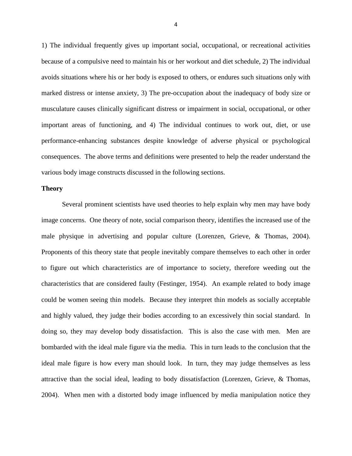1) The individual frequently gives up important social, occupational, or recreational activities because of a compulsive need to maintain his or her workout and diet schedule, 2) The individual avoids situations where his or her body is exposed to others, or endures such situations only with marked distress or intense anxiety, 3) The pre-occupation about the inadequacy of body size or musculature causes clinically significant distress or impairment in social, occupational, or other important areas of functioning, and 4) The individual continues to work out, diet, or use performance-enhancing substances despite knowledge of adverse physical or psychological consequences. The above terms and definitions were presented to help the reader understand the various body image constructs discussed in the following sections.

#### **Theory**

Several prominent scientists have used theories to help explain why men may have body image concerns. One theory of note, social comparison theory, identifies the increased use of the male physique in advertising and popular culture (Lorenzen, Grieve, & Thomas, 2004). Proponents of this theory state that people inevitably compare themselves to each other in order to figure out which characteristics are of importance to society, therefore weeding out the characteristics that are considered faulty (Festinger, 1954). An example related to body image could be women seeing thin models. Because they interpret thin models as socially acceptable and highly valued, they judge their bodies according to an excessively thin social standard. In doing so, they may develop body dissatisfaction. This is also the case with men. Men are bombarded with the ideal male figure via the media. This in turn leads to the conclusion that the ideal male figure is how every man should look. In turn, they may judge themselves as less attractive than the social ideal, leading to body dissatisfaction (Lorenzen, Grieve, & Thomas, 2004). When men with a distorted body image influenced by media manipulation notice they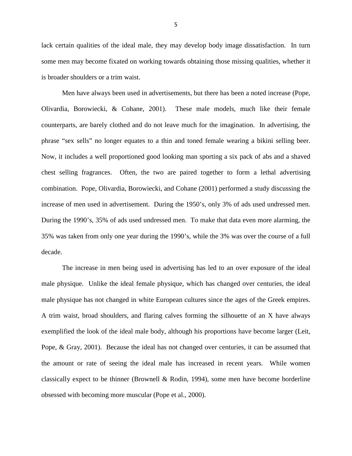lack certain qualities of the ideal male, they may develop body image dissatisfaction. In turn some men may become fixated on working towards obtaining those missing qualities, whether it is broader shoulders or a trim waist.

Men have always been used in advertisements, but there has been a noted increase (Pope, Olivardia, Borowiecki, & Cohane, 2001). These male models, much like their female counterparts, are barely clothed and do not leave much for the imagination. In advertising, the phrase "sex sells" no longer equates to a thin and toned female wearing a bikini selling beer. Now, it includes a well proportioned good looking man sporting a six pack of abs and a shaved chest selling fragrances. Often, the two are paired together to form a lethal advertising combination. Pope, Olivardia, Borowiecki, and Cohane (2001) performed a study discussing the increase of men used in advertisement. During the 1950's, only 3% of ads used undressed men. During the 1990's, 35% of ads used undressed men. To make that data even more alarming, the 35% was taken from only one year during the 1990's, while the 3% was over the course of a full decade.

The increase in men being used in advertising has led to an over exposure of the ideal male physique. Unlike the ideal female physique, which has changed over centuries, the ideal male physique has not changed in white European cultures since the ages of the Greek empires. A trim waist, broad shoulders, and flaring calves forming the silhouette of an X have always exemplified the look of the ideal male body, although his proportions have become larger (Leit, Pope, & Gray, 2001). Because the ideal has not changed over centuries, it can be assumed that the amount or rate of seeing the ideal male has increased in recent years. While women classically expect to be thinner (Brownell & Rodin, 1994), some men have become borderline obsessed with becoming more muscular (Pope et al., 2000).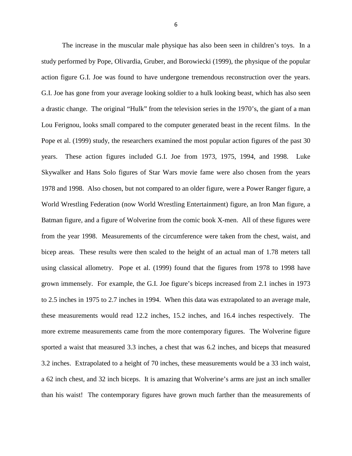The increase in the muscular male physique has also been seen in children's toys. In a study performed by Pope, Olivardia, Gruber, and Borowiecki (1999), the physique of the popular action figure G.I. Joe was found to have undergone tremendous reconstruction over the years. G.I. Joe has gone from your average looking soldier to a hulk looking beast, which has also seen a drastic change. The original "Hulk" from the television series in the 1970's, the giant of a man Lou Ferignou, looks small compared to the computer generated beast in the recent films. In the Pope et al. (1999) study, the researchers examined the most popular action figures of the past 30 years. These action figures included G.I. Joe from 1973, 1975, 1994, and 1998. Luke Skywalker and Hans Solo figures of Star Wars movie fame were also chosen from the years 1978 and 1998. Also chosen, but not compared to an older figure, were a Power Ranger figure, a World Wrestling Federation (now World Wrestling Entertainment) figure, an Iron Man figure, a Batman figure, and a figure of Wolverine from the comic book X-men. All of these figures were from the year 1998. Measurements of the circumference were taken from the chest, waist, and bicep areas. These results were then scaled to the height of an actual man of 1.78 meters tall using classical allometry. Pope et al. (1999) found that the figures from 1978 to 1998 have grown immensely. For example, the G.I. Joe figure's biceps increased from 2.1 inches in 1973 to 2.5 inches in 1975 to 2.7 inches in 1994. When this data was extrapolated to an average male, these measurements would read 12.2 inches, 15.2 inches, and 16.4 inches respectively. The more extreme measurements came from the more contemporary figures. The Wolverine figure sported a waist that measured 3.3 inches, a chest that was 6.2 inches, and biceps that measured 3.2 inches. Extrapolated to a height of 70 inches, these measurements would be a 33 inch waist, a 62 inch chest, and 32 inch biceps. It is amazing that Wolverine's arms are just an inch smaller than his waist! The contemporary figures have grown much farther than the measurements of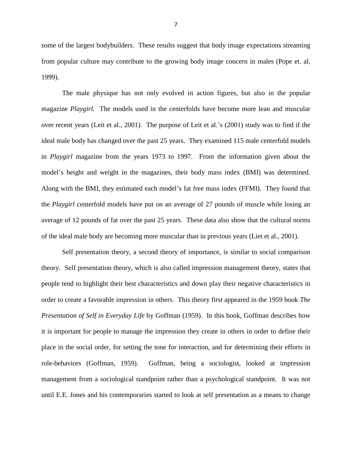some of the largest bodybuilders. These results suggest that body image expectations streaming from popular culture may contribute to the growing body image concern in males (Pope et. al, 1999).

The male physique has not only evolved in action figures, but also in the popular magazine *Playgirl.* The models used in the centerfolds have become more lean and muscular over recent years (Leit et al., 2001). The purpose of Leit et al.'s (2001) study was to find if the ideal male body has changed over the past 25 years. They examined 115 male centerfold models in *Playgirl* magazine from the years 1973 to 1997. From the information given about the model's height and weight in the magazines, their body mass index (BMI) was determined. Along with the BMI, they estimated each model's fat free mass index (FFMI). They found that the *Playgirl* centerfold models have put on an average of 27 pounds of muscle while losing an average of 12 pounds of fat over the past 25 years. These data also show that the cultural norms of the ideal male body are becoming more muscular than in previous years (Liet et al., 2001).

 Self presentation theory, a second theory of importance, is similar to social comparison theory. Self presentation theory, which is also called impression management theory, states that people tend to highlight their best characteristics and down play their negative characteristics in order to create a favorable impression in others. This theory first appeared in the 1959 book *The Presentation of Self in Everyday Life* by Goffman (1959). In this book, Goffman describes how it is important for people to manage the impression they create in others in order to define their place in the social order, for setting the tone for interaction, and for determining their efforts in role-behaviors (Goffman, 1959). Goffman, being a sociologist, looked at impression management from a sociological standpoint rather than a psychological standpoint. It was not until E.E. Jones and his contemporaries started to look at self presentation as a means to change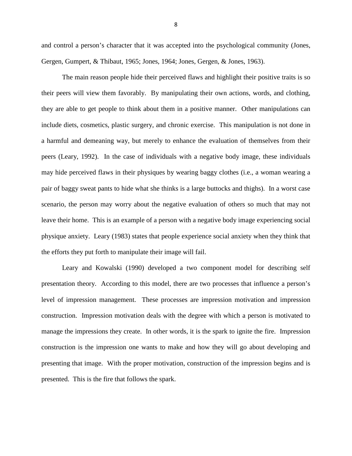and control a person's character that it was accepted into the psychological community (Jones, Gergen, Gumpert, & Thibaut, 1965; Jones, 1964; Jones, Gergen, & Jones, 1963).

The main reason people hide their perceived flaws and highlight their positive traits is so their peers will view them favorably. By manipulating their own actions, words, and clothing, they are able to get people to think about them in a positive manner. Other manipulations can include diets, cosmetics, plastic surgery, and chronic exercise. This manipulation is not done in a harmful and demeaning way, but merely to enhance the evaluation of themselves from their peers (Leary, 1992). In the case of individuals with a negative body image, these individuals may hide perceived flaws in their physiques by wearing baggy clothes (i.e., a woman wearing a pair of baggy sweat pants to hide what she thinks is a large buttocks and thighs). In a worst case scenario, the person may worry about the negative evaluation of others so much that may not leave their home. This is an example of a person with a negative body image experiencing social physique anxiety. Leary (1983) states that people experience social anxiety when they think that the efforts they put forth to manipulate their image will fail.

Leary and Kowalski (1990) developed a two component model for describing self presentation theory. According to this model, there are two processes that influence a person's level of impression management. These processes are impression motivation and impression construction. Impression motivation deals with the degree with which a person is motivated to manage the impressions they create. In other words, it is the spark to ignite the fire. Impression construction is the impression one wants to make and how they will go about developing and presenting that image. With the proper motivation, construction of the impression begins and is presented. This is the fire that follows the spark.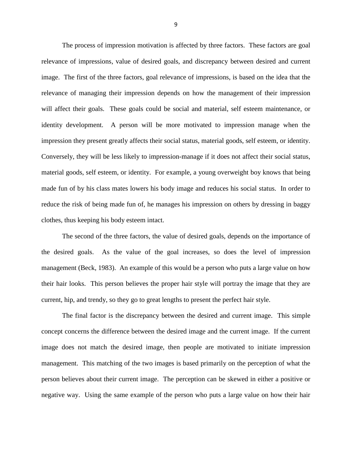The process of impression motivation is affected by three factors. These factors are goal relevance of impressions, value of desired goals, and discrepancy between desired and current image. The first of the three factors, goal relevance of impressions, is based on the idea that the relevance of managing their impression depends on how the management of their impression will affect their goals. These goals could be social and material, self esteem maintenance, or identity development. A person will be more motivated to impression manage when the impression they present greatly affects their social status, material goods, self esteem, or identity. Conversely, they will be less likely to impression-manage if it does not affect their social status, material goods, self esteem, or identity. For example, a young overweight boy knows that being made fun of by his class mates lowers his body image and reduces his social status. In order to reduce the risk of being made fun of, he manages his impression on others by dressing in baggy clothes, thus keeping his body esteem intact.

The second of the three factors, the value of desired goals, depends on the importance of the desired goals. As the value of the goal increases, so does the level of impression management (Beck, 1983). An example of this would be a person who puts a large value on how their hair looks. This person believes the proper hair style will portray the image that they are current, hip, and trendy, so they go to great lengths to present the perfect hair style.

The final factor is the discrepancy between the desired and current image. This simple concept concerns the difference between the desired image and the current image. If the current image does not match the desired image, then people are motivated to initiate impression management. This matching of the two images is based primarily on the perception of what the person believes about their current image. The perception can be skewed in either a positive or negative way. Using the same example of the person who puts a large value on how their hair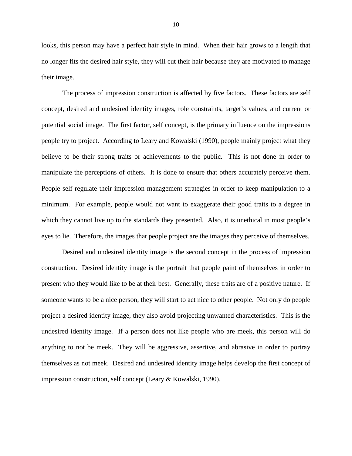looks, this person may have a perfect hair style in mind. When their hair grows to a length that no longer fits the desired hair style, they will cut their hair because they are motivated to manage their image.

The process of impression construction is affected by five factors. These factors are self concept, desired and undesired identity images, role constraints, target's values, and current or potential social image. The first factor, self concept, is the primary influence on the impressions people try to project. According to Leary and Kowalski (1990), people mainly project what they believe to be their strong traits or achievements to the public. This is not done in order to manipulate the perceptions of others. It is done to ensure that others accurately perceive them. People self regulate their impression management strategies in order to keep manipulation to a minimum. For example, people would not want to exaggerate their good traits to a degree in which they cannot live up to the standards they presented. Also, it is unethical in most people's eyes to lie. Therefore, the images that people project are the images they perceive of themselves.

Desired and undesired identity image is the second concept in the process of impression construction. Desired identity image is the portrait that people paint of themselves in order to present who they would like to be at their best. Generally, these traits are of a positive nature. If someone wants to be a nice person, they will start to act nice to other people. Not only do people project a desired identity image, they also avoid projecting unwanted characteristics. This is the undesired identity image. If a person does not like people who are meek, this person will do anything to not be meek. They will be aggressive, assertive, and abrasive in order to portray themselves as not meek. Desired and undesired identity image helps develop the first concept of impression construction, self concept (Leary & Kowalski, 1990).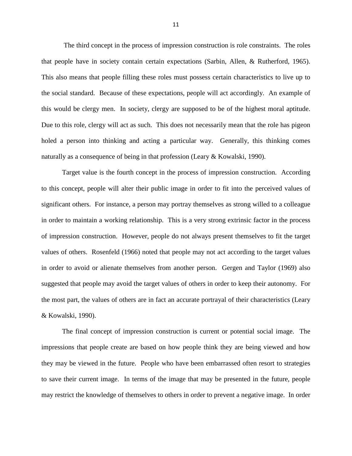The third concept in the process of impression construction is role constraints. The roles that people have in society contain certain expectations (Sarbin, Allen, & Rutherford, 1965). This also means that people filling these roles must possess certain characteristics to live up to the social standard. Because of these expectations, people will act accordingly. An example of this would be clergy men. In society, clergy are supposed to be of the highest moral aptitude. Due to this role, clergy will act as such. This does not necessarily mean that the role has pigeon holed a person into thinking and acting a particular way. Generally, this thinking comes naturally as a consequence of being in that profession (Leary & Kowalski, 1990).

Target value is the fourth concept in the process of impression construction. According to this concept, people will alter their public image in order to fit into the perceived values of significant others. For instance, a person may portray themselves as strong willed to a colleague in order to maintain a working relationship. This is a very strong extrinsic factor in the process of impression construction. However, people do not always present themselves to fit the target values of others. Rosenfeld (1966) noted that people may not act according to the target values in order to avoid or alienate themselves from another person. Gergen and Taylor (1969) also suggested that people may avoid the target values of others in order to keep their autonomy. For the most part, the values of others are in fact an accurate portrayal of their characteristics (Leary & Kowalski, 1990).

The final concept of impression construction is current or potential social image. The impressions that people create are based on how people think they are being viewed and how they may be viewed in the future. People who have been embarrassed often resort to strategies to save their current image. In terms of the image that may be presented in the future, people may restrict the knowledge of themselves to others in order to prevent a negative image. In order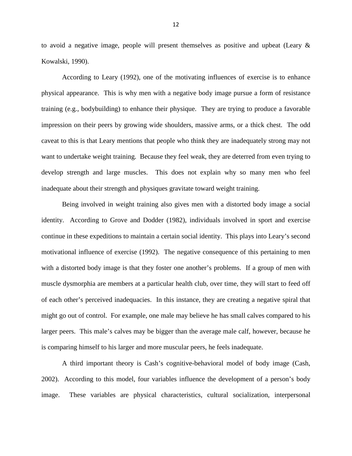to avoid a negative image, people will present themselves as positive and upbeat (Leary & Kowalski, 1990).

According to Leary (1992), one of the motivating influences of exercise is to enhance physical appearance. This is why men with a negative body image pursue a form of resistance training (e.g., bodybuilding) to enhance their physique. They are trying to produce a favorable impression on their peers by growing wide shoulders, massive arms, or a thick chest. The odd caveat to this is that Leary mentions that people who think they are inadequately strong may not want to undertake weight training. Because they feel weak, they are deterred from even trying to develop strength and large muscles. This does not explain why so many men who feel inadequate about their strength and physiques gravitate toward weight training.

Being involved in weight training also gives men with a distorted body image a social identity. According to Grove and Dodder (1982), individuals involved in sport and exercise continue in these expeditions to maintain a certain social identity. This plays into Leary's second motivational influence of exercise (1992). The negative consequence of this pertaining to men with a distorted body image is that they foster one another's problems. If a group of men with muscle dysmorphia are members at a particular health club, over time, they will start to feed off of each other's perceived inadequacies. In this instance, they are creating a negative spiral that might go out of control. For example, one male may believe he has small calves compared to his larger peers. This male's calves may be bigger than the average male calf, however, because he is comparing himself to his larger and more muscular peers, he feels inadequate.

 A third important theory is Cash's cognitive-behavioral model of body image (Cash, 2002). According to this model, four variables influence the development of a person's body image. These variables are physical characteristics, cultural socialization, interpersonal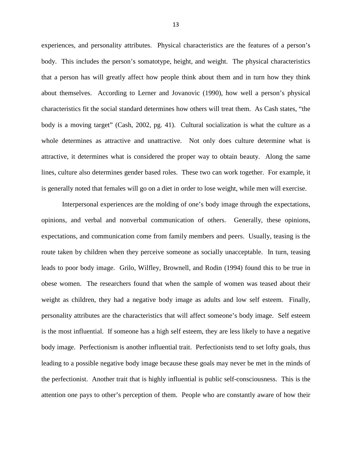experiences, and personality attributes. Physical characteristics are the features of a person's body. This includes the person's somatotype, height, and weight. The physical characteristics that a person has will greatly affect how people think about them and in turn how they think about themselves. According to Lerner and Jovanovic (1990), how well a person's physical characteristics fit the social standard determines how others will treat them. As Cash states, "the body is a moving target" (Cash, 2002, pg. 41). Cultural socialization is what the culture as a whole determines as attractive and unattractive. Not only does culture determine what is attractive, it determines what is considered the proper way to obtain beauty. Along the same lines, culture also determines gender based roles. These two can work together. For example, it is generally noted that females will go on a diet in order to lose weight, while men will exercise.

Interpersonal experiences are the molding of one's body image through the expectations, opinions, and verbal and nonverbal communication of others. Generally, these opinions, expectations, and communication come from family members and peers. Usually, teasing is the route taken by children when they perceive someone as socially unacceptable. In turn, teasing leads to poor body image. Grilo, Wilfley, Brownell, and Rodin (1994) found this to be true in obese women. The researchers found that when the sample of women was teased about their weight as children, they had a negative body image as adults and low self esteem. Finally, personality attributes are the characteristics that will affect someone's body image. Self esteem is the most influential. If someone has a high self esteem, they are less likely to have a negative body image. Perfectionism is another influential trait. Perfectionists tend to set lofty goals, thus leading to a possible negative body image because these goals may never be met in the minds of the perfectionist. Another trait that is highly influential is public self-consciousness. This is the attention one pays to other's perception of them. People who are constantly aware of how their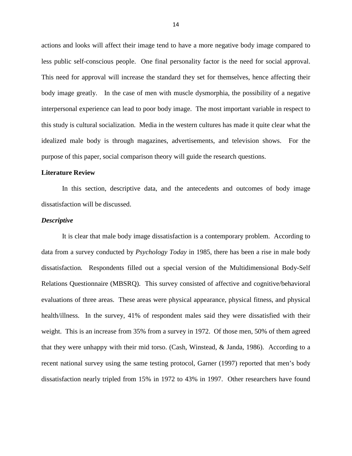actions and looks will affect their image tend to have a more negative body image compared to less public self-conscious people. One final personality factor is the need for social approval. This need for approval will increase the standard they set for themselves, hence affecting their body image greatly. In the case of men with muscle dysmorphia, the possibility of a negative interpersonal experience can lead to poor body image. The most important variable in respect to this study is cultural socialization. Media in the western cultures has made it quite clear what the idealized male body is through magazines, advertisements, and television shows. For the purpose of this paper, social comparison theory will guide the research questions.

#### **Literature Review**

In this section, descriptive data, and the antecedents and outcomes of body image dissatisfaction will be discussed.

#### *Descriptive*

It is clear that male body image dissatisfaction is a contemporary problem. According to data from a survey conducted by *Psychology Today* in 1985, there has been a rise in male body dissatisfaction*.* Respondents filled out a special version of the Multidimensional Body-Self Relations Questionnaire (MBSRQ). This survey consisted of affective and cognitive/behavioral evaluations of three areas. These areas were physical appearance, physical fitness, and physical health/illness. In the survey, 41% of respondent males said they were dissatisfied with their weight. This is an increase from 35% from a survey in 1972. Of those men, 50% of them agreed that they were unhappy with their mid torso. (Cash, Winstead, & Janda, 1986). According to a recent national survey using the same testing protocol, Garner (1997) reported that men's body dissatisfaction nearly tripled from 15% in 1972 to 43% in 1997. Other researchers have found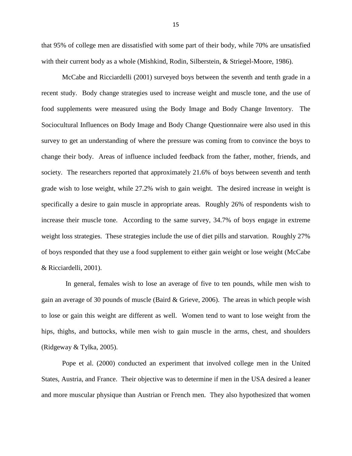that 95% of college men are dissatisfied with some part of their body, while 70% are unsatisfied with their current body as a whole (Mishkind, Rodin, Silberstein, & Striegel-Moore, 1986).

McCabe and Ricciardelli (2001) surveyed boys between the seventh and tenth grade in a recent study. Body change strategies used to increase weight and muscle tone, and the use of food supplements were measured using the Body Image and Body Change Inventory. The Sociocultural Influences on Body Image and Body Change Questionnaire were also used in this survey to get an understanding of where the pressure was coming from to convince the boys to change their body. Areas of influence included feedback from the father, mother, friends, and society. The researchers reported that approximately 21.6% of boys between seventh and tenth grade wish to lose weight, while 27.2% wish to gain weight. The desired increase in weight is specifically a desire to gain muscle in appropriate areas. Roughly 26% of respondents wish to increase their muscle tone. According to the same survey, 34.7% of boys engage in extreme weight loss strategies. These strategies include the use of diet pills and starvation. Roughly 27% of boys responded that they use a food supplement to either gain weight or lose weight (McCabe & Ricciardelli, 2001).

 In general, females wish to lose an average of five to ten pounds, while men wish to gain an average of 30 pounds of muscle (Baird & Grieve, 2006). The areas in which people wish to lose or gain this weight are different as well. Women tend to want to lose weight from the hips, thighs, and buttocks, while men wish to gain muscle in the arms, chest, and shoulders (Ridgeway & Tylka, 2005).

Pope et al. (2000) conducted an experiment that involved college men in the United States, Austria, and France. Their objective was to determine if men in the USA desired a leaner and more muscular physique than Austrian or French men. They also hypothesized that women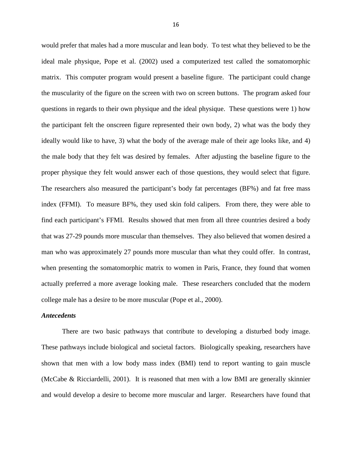would prefer that males had a more muscular and lean body. To test what they believed to be the ideal male physique, Pope et al. (2002) used a computerized test called the somatomorphic matrix. This computer program would present a baseline figure. The participant could change the muscularity of the figure on the screen with two on screen buttons. The program asked four questions in regards to their own physique and the ideal physique. These questions were 1) how the participant felt the onscreen figure represented their own body, 2) what was the body they ideally would like to have, 3) what the body of the average male of their age looks like, and 4) the male body that they felt was desired by females. After adjusting the baseline figure to the proper physique they felt would answer each of those questions, they would select that figure. The researchers also measured the participant's body fat percentages (BF%) and fat free mass index (FFMI). To measure BF%, they used skin fold calipers. From there, they were able to find each participant's FFMI. Results showed that men from all three countries desired a body that was 27-29 pounds more muscular than themselves. They also believed that women desired a man who was approximately 27 pounds more muscular than what they could offer. In contrast, when presenting the somatomorphic matrix to women in Paris, France, they found that women actually preferred a more average looking male. These researchers concluded that the modern college male has a desire to be more muscular (Pope et al., 2000).

#### *Antecedents*

There are two basic pathways that contribute to developing a disturbed body image. These pathways include biological and societal factors. Biologically speaking, researchers have shown that men with a low body mass index (BMI) tend to report wanting to gain muscle (McCabe & Ricciardelli, 2001). It is reasoned that men with a low BMI are generally skinnier and would develop a desire to become more muscular and larger. Researchers have found that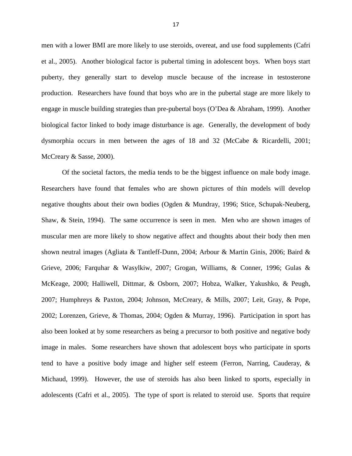men with a lower BMI are more likely to use steroids, overeat, and use food supplements (Cafri et al., 2005). Another biological factor is pubertal timing in adolescent boys. When boys start puberty, they generally start to develop muscle because of the increase in testosterone production. Researchers have found that boys who are in the pubertal stage are more likely to engage in muscle building strategies than pre-pubertal boys (O'Dea & Abraham, 1999). Another biological factor linked to body image disturbance is age. Generally, the development of body dysmorphia occurs in men between the ages of 18 and 32 (McCabe & Ricardelli, 2001; McCreary & Sasse, 2000).

 Of the societal factors, the media tends to be the biggest influence on male body image. Researchers have found that females who are shown pictures of thin models will develop negative thoughts about their own bodies (Ogden & Mundray, 1996; Stice, Schupak-Neuberg, Shaw, & Stein, 1994). The same occurrence is seen in men. Men who are shown images of muscular men are more likely to show negative affect and thoughts about their body then men shown neutral images (Agliata & Tantleff-Dunn, 2004; Arbour & Martin Ginis, 2006; Baird & Grieve, 2006; Farquhar & Wasylkiw, 2007; Grogan, Williams, & Conner, 1996; Gulas & McKeage, 2000; Halliwell, Dittmar, & Osborn, 2007; Hobza, Walker, Yakushko, & Peugh, 2007; Humphreys & Paxton, 2004; Johnson, McCreary, & Mills, 2007; Leit, Gray, & Pope, 2002; Lorenzen, Grieve, & Thomas, 2004; Ogden & Murray, 1996). Participation in sport has also been looked at by some researchers as being a precursor to both positive and negative body image in males. Some researchers have shown that adolescent boys who participate in sports tend to have a positive body image and higher self esteem (Ferron, Narring, Cauderay, & Michaud, 1999). However, the use of steroids has also been linked to sports, especially in adolescents (Cafri et al., 2005). The type of sport is related to steroid use. Sports that require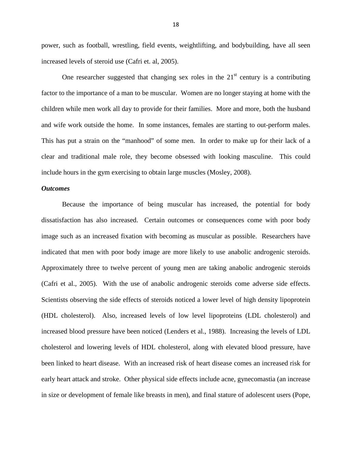power, such as football, wrestling, field events, weightlifting, and bodybuilding, have all seen increased levels of steroid use (Cafri et. al, 2005).

One researcher suggested that changing sex roles in the  $21<sup>st</sup>$  century is a contributing factor to the importance of a man to be muscular. Women are no longer staying at home with the children while men work all day to provide for their families. More and more, both the husband and wife work outside the home. In some instances, females are starting to out-perform males. This has put a strain on the "manhood" of some men. In order to make up for their lack of a clear and traditional male role, they become obsessed with looking masculine. This could include hours in the gym exercising to obtain large muscles (Mosley, 2008).

#### *Outcomes*

Because the importance of being muscular has increased, the potential for body dissatisfaction has also increased. Certain outcomes or consequences come with poor body image such as an increased fixation with becoming as muscular as possible. Researchers have indicated that men with poor body image are more likely to use anabolic androgenic steroids. Approximately three to twelve percent of young men are taking anabolic androgenic steroids (Cafri et al., 2005). With the use of anabolic androgenic steroids come adverse side effects. Scientists observing the side effects of steroids noticed a lower level of high density lipoprotein (HDL cholesterol). Also, increased levels of low level lipoproteins (LDL cholesterol) and increased blood pressure have been noticed (Lenders et al., 1988). Increasing the levels of LDL cholesterol and lowering levels of HDL cholesterol, along with elevated blood pressure, have been linked to heart disease. With an increased risk of heart disease comes an increased risk for early heart attack and stroke. Other physical side effects include acne, gynecomastia (an increase in size or development of female like breasts in men), and final stature of adolescent users (Pope,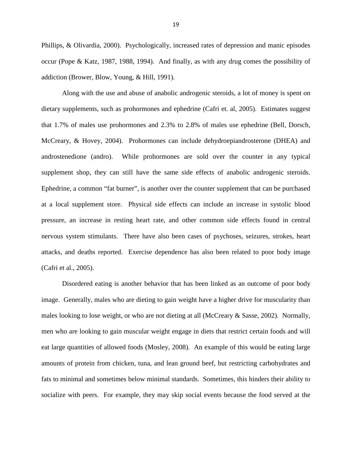Phillips, & Olivardia, 2000). Psychologically, increased rates of depression and manic episodes occur (Pope & Katz, 1987, 1988, 1994). And finally, as with any drug comes the possibility of addiction (Brower, Blow, Young, & Hill, 1991).

Along with the use and abuse of anabolic androgenic steroids, a lot of money is spent on dietary supplements, such as prohormones and ephedrine (Cafri et. al, 2005). Estimates suggest that 1.7% of males use prohormones and 2.3% to 2.8% of males use ephedrine (Bell, Dorsch, McCreary, & Hovey, 2004). Prohormones can include dehydroepiandrosterone (DHEA) and androstenedione (andro). While prohormones are sold over the counter in any typical supplement shop, they can still have the same side effects of anabolic androgenic steroids. Ephedrine, a common "fat burner", is another over the counter supplement that can be purchased at a local supplement store. Physical side effects can include an increase in systolic blood pressure, an increase in resting heart rate, and other common side effects found in central nervous system stimulants. There have also been cases of psychoses, seizures, strokes, heart attacks, and deaths reported. Exercise dependence has also been related to poor body image (Cafri et al., 2005).

Disordered eating is another behavior that has been linked as an outcome of poor body image. Generally, males who are dieting to gain weight have a higher drive for muscularity than males looking to lose weight, or who are not dieting at all (McCreary & Sasse, 2002). Normally, men who are looking to gain muscular weight engage in diets that restrict certain foods and will eat large quantities of allowed foods (Mosley, 2008). An example of this would be eating large amounts of protein from chicken, tuna, and lean ground beef, but restricting carbohydrates and fats to minimal and sometimes below minimal standards. Sometimes, this hinders their ability to socialize with peers. For example, they may skip social events because the food served at the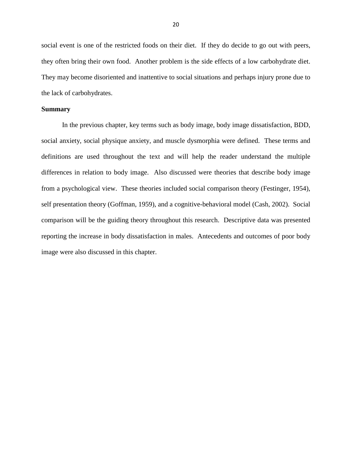social event is one of the restricted foods on their diet. If they do decide to go out with peers, they often bring their own food. Another problem is the side effects of a low carbohydrate diet. They may become disoriented and inattentive to social situations and perhaps injury prone due to the lack of carbohydrates.

#### **Summary**

In the previous chapter, key terms such as body image, body image dissatisfaction, BDD, social anxiety, social physique anxiety, and muscle dysmorphia were defined. These terms and definitions are used throughout the text and will help the reader understand the multiple differences in relation to body image. Also discussed were theories that describe body image from a psychological view. These theories included social comparison theory (Festinger, 1954), self presentation theory (Goffman, 1959), and a cognitive-behavioral model (Cash, 2002). Social comparison will be the guiding theory throughout this research. Descriptive data was presented reporting the increase in body dissatisfaction in males. Antecedents and outcomes of poor body image were also discussed in this chapter.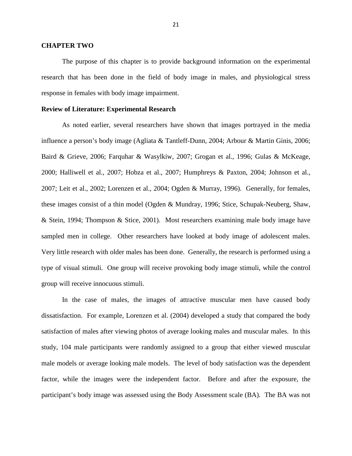#### **CHAPTER TWO**

 The purpose of this chapter is to provide background information on the experimental research that has been done in the field of body image in males, and physiological stress response in females with body image impairment.

#### **Review of Literature: Experimental Research**

 As noted earlier, several researchers have shown that images portrayed in the media influence a person's body image (Agliata & Tantleff-Dunn, 2004; Arbour & Martin Ginis, 2006; Baird & Grieve, 2006; Farquhar & Wasylkiw, 2007; Grogan et al., 1996; Gulas & McKeage, 2000; Halliwell et al., 2007; Hobza et al., 2007; Humphreys & Paxton, 2004; Johnson et al., 2007; Leit et al., 2002; Lorenzen et al., 2004; Ogden & Murray, 1996). Generally, for females, these images consist of a thin model (Ogden & Mundray, 1996; Stice, Schupak-Neuberg, Shaw, & Stein, 1994; Thompson & Stice, 2001). Most researchers examining male body image have sampled men in college. Other researchers have looked at body image of adolescent males. Very little research with older males has been done. Generally, the research is performed using a type of visual stimuli. One group will receive provoking body image stimuli, while the control group will receive innocuous stimuli.

In the case of males, the images of attractive muscular men have caused body dissatisfaction. For example, Lorenzen et al. (2004) developed a study that compared the body satisfaction of males after viewing photos of average looking males and muscular males. In this study, 104 male participants were randomly assigned to a group that either viewed muscular male models or average looking male models. The level of body satisfaction was the dependent factor, while the images were the independent factor. Before and after the exposure, the participant's body image was assessed using the Body Assessment scale (BA). The BA was not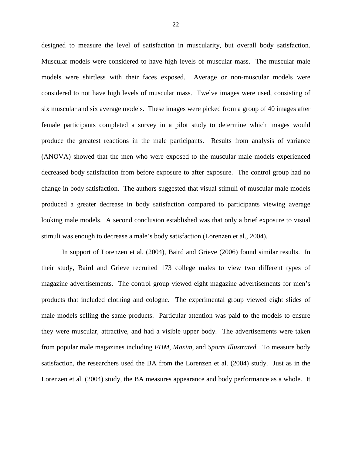designed to measure the level of satisfaction in muscularity, but overall body satisfaction. Muscular models were considered to have high levels of muscular mass. The muscular male models were shirtless with their faces exposed. Average or non-muscular models were considered to not have high levels of muscular mass. Twelve images were used, consisting of six muscular and six average models. These images were picked from a group of 40 images after female participants completed a survey in a pilot study to determine which images would produce the greatest reactions in the male participants. Results from analysis of variance (ANOVA) showed that the men who were exposed to the muscular male models experienced decreased body satisfaction from before exposure to after exposure. The control group had no change in body satisfaction. The authors suggested that visual stimuli of muscular male models produced a greater decrease in body satisfaction compared to participants viewing average looking male models. A second conclusion established was that only a brief exposure to visual stimuli was enough to decrease a male's body satisfaction (Lorenzen et al., 2004).

In support of Lorenzen et al. (2004), Baird and Grieve (2006) found similar results. In their study, Baird and Grieve recruited 173 college males to view two different types of magazine advertisements. The control group viewed eight magazine advertisements for men's products that included clothing and cologne. The experimental group viewed eight slides of male models selling the same products. Particular attention was paid to the models to ensure they were muscular, attractive, and had a visible upper body. The advertisements were taken from popular male magazines including *FHM, Maxim,* and *Sports Illustrated*. To measure body satisfaction, the researchers used the BA from the Lorenzen et al. (2004) study. Just as in the Lorenzen et al. (2004) study, the BA measures appearance and body performance as a whole. It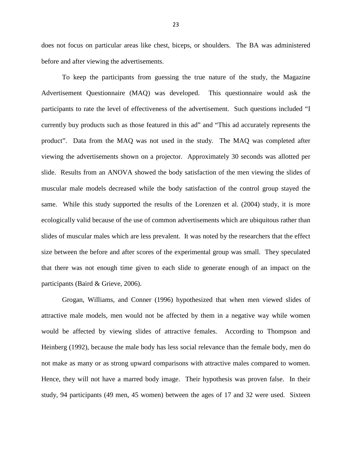does not focus on particular areas like chest, biceps, or shoulders. The BA was administered before and after viewing the advertisements.

To keep the participants from guessing the true nature of the study, the Magazine Advertisement Questionnaire (MAQ) was developed. This questionnaire would ask the participants to rate the level of effectiveness of the advertisement. Such questions included "I currently buy products such as those featured in this ad" and "This ad accurately represents the product". Data from the MAQ was not used in the study. The MAQ was completed after viewing the advertisements shown on a projector. Approximately 30 seconds was allotted per slide. Results from an ANOVA showed the body satisfaction of the men viewing the slides of muscular male models decreased while the body satisfaction of the control group stayed the same. While this study supported the results of the Lorenzen et al. (2004) study, it is more ecologically valid because of the use of common advertisements which are ubiquitous rather than slides of muscular males which are less prevalent. It was noted by the researchers that the effect size between the before and after scores of the experimental group was small. They speculated that there was not enough time given to each slide to generate enough of an impact on the participants (Baird & Grieve, 2006).

Grogan, Williams, and Conner (1996) hypothesized that when men viewed slides of attractive male models, men would not be affected by them in a negative way while women would be affected by viewing slides of attractive females. According to Thompson and Heinberg (1992), because the male body has less social relevance than the female body, men do not make as many or as strong upward comparisons with attractive males compared to women. Hence, they will not have a marred body image. Their hypothesis was proven false. In their study, 94 participants (49 men, 45 women) between the ages of 17 and 32 were used. Sixteen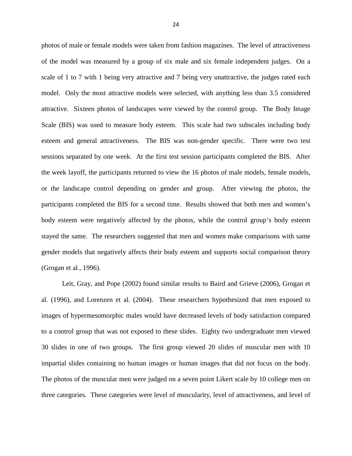photos of male or female models were taken from fashion magazines. The level of attractiveness of the model was measured by a group of six male and six female independent judges. On a scale of 1 to 7 with 1 being very attractive and 7 being very unattractive, the judges rated each model. Only the most attractive models were selected, with anything less than 3.5 considered attractive. Sixteen photos of landscapes were viewed by the control group. The Body Image Scale (BIS) was used to measure body esteem. This scale had two subscales including body esteem and general attractiveness. The BIS was non-gender specific. There were two test sessions separated by one week. At the first test session participants completed the BIS. After the week layoff, the participants returned to view the 16 photos of male models, female models, or the landscape control depending on gender and group. After viewing the photos, the participants completed the BIS for a second time. Results showed that both men and women's body esteem were negatively affected by the photos, while the control group's body esteem stayed the same. The researchers suggested that men and women make comparisons with same gender models that negatively affects their body esteem and supports social comparison theory (Grogan et al., 1996).

Leit, Gray, and Pope (2002) found similar results to Baird and Grieve (2006), Grogan et al. (1996), and Lorenzen et al. (2004). These researchers hypothesized that men exposed to images of hypermesomorphic males would have decreased levels of body satisfaction compared to a control group that was not exposed to these slides. Eighty two undergraduate men viewed 30 slides in one of two groups. The first group viewed 20 slides of muscular men with 10 impartial slides containing no human images or human images that did not focus on the body. The photos of the muscular men were judged on a seven point Likert scale by 10 college men on three categories. These categories were level of muscularity, level of attractiveness, and level of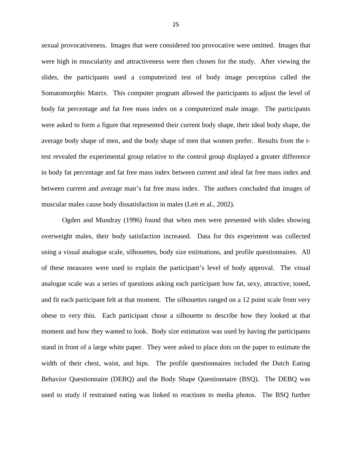sexual provocativeness. Images that were considered too provocative were omitted. Images that were high in muscularity and attractiveness were then chosen for the study. After viewing the slides, the participants used a computerized test of body image perception called the Somatomorphic Matrix. This computer program allowed the participants to adjust the level of body fat percentage and fat free mass index on a computerized male image. The participants were asked to form a figure that represented their current body shape, their ideal body shape, the average body shape of men, and the body shape of men that women prefer. Results from the ttest revealed the experimental group relative to the control group displayed a greater difference in body fat percentage and fat free mass index between current and ideal fat free mass index and between current and average man's fat free mass index. The authors concluded that images of muscular males cause body dissatisfaction in males (Leit et al., 2002).

Ogden and Mundray (1996) found that when men were presented with slides showing overweight males, their body satisfaction increased. Data for this experiment was collected using a visual analogue scale, silhouettes, body size estimations, and profile questionnaires. All of these measures were used to explain the participant's level of body approval. The visual analogue scale was a series of questions asking each participant how fat, sexy, attractive, toned, and fit each participant felt at that moment. The silhouettes ranged on a 12 point scale from very obese to very thin. Each participant chose a silhouette to describe how they looked at that moment and how they wanted to look. Body size estimation was used by having the participants stand in front of a large white paper. They were asked to place dots on the paper to estimate the width of their chest, waist, and hips. The profile questionnaires included the Dutch Eating Behavior Questionnaire (DEBQ) and the Body Shape Questionnaire (BSQ). The DEBQ was used to study if restrained eating was linked to reactions to media photos. The BSQ further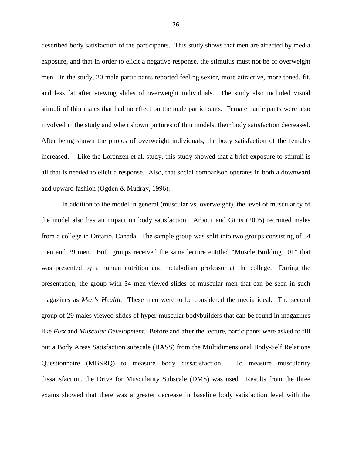described body satisfaction of the participants. This study shows that men are affected by media exposure, and that in order to elicit a negative response, the stimulus must not be of overweight men. In the study, 20 male participants reported feeling sexier, more attractive, more toned, fit, and less fat after viewing slides of overweight individuals. The study also included visual stimuli of thin males that had no effect on the male participants. Female participants were also involved in the study and when shown pictures of thin models, their body satisfaction decreased. After being shown the photos of overweight individuals, the body satisfaction of the females increased. Like the Lorenzen et al. study, this study showed that a brief exposure to stimuli is all that is needed to elicit a response. Also, that social comparison operates in both a downward and upward fashion (Ogden & Mudray, 1996).

In addition to the model in general (muscular vs. overweight), the level of muscularity of the model also has an impact on body satisfaction. Arbour and Ginis (2005) recruited males from a college in Ontario, Canada. The sample group was split into two groups consisting of 34 men and 29 men. Both groups received the same lecture entitled "Muscle Building 101" that was presented by a human nutrition and metabolism professor at the college. During the presentation, the group with 34 men viewed slides of muscular men that can be seen in such magazines as *Men's Health*. These men were to be considered the media ideal. The second group of 29 males viewed slides of hyper-muscular bodybuilders that can be found in magazines like *Flex* and *Muscular Development.* Before and after the lecture, participants were asked to fill out a Body Areas Satisfaction subscale (BASS) from the Multidimensional Body-Self Relations Questionnaire (MBSRQ) to measure body dissatisfaction. To measure muscularity dissatisfaction, the Drive for Muscularity Subscale (DMS) was used. Results from the three exams showed that there was a greater decrease in baseline body satisfaction level with the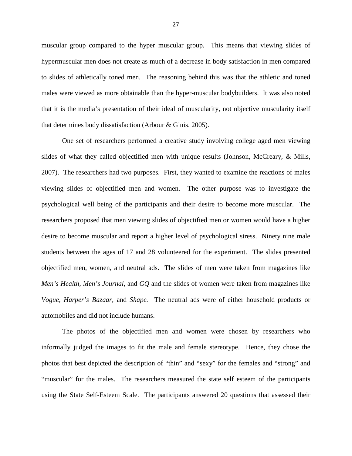muscular group compared to the hyper muscular group. This means that viewing slides of hypermuscular men does not create as much of a decrease in body satisfaction in men compared to slides of athletically toned men. The reasoning behind this was that the athletic and toned males were viewed as more obtainable than the hyper-muscular bodybuilders. It was also noted that it is the media's presentation of their ideal of muscularity, not objective muscularity itself that determines body dissatisfaction (Arbour & Ginis, 2005).

One set of researchers performed a creative study involving college aged men viewing slides of what they called objectified men with unique results (Johnson, McCreary, & Mills, 2007). The researchers had two purposes. First, they wanted to examine the reactions of males viewing slides of objectified men and women. The other purpose was to investigate the psychological well being of the participants and their desire to become more muscular. The researchers proposed that men viewing slides of objectified men or women would have a higher desire to become muscular and report a higher level of psychological stress. Ninety nine male students between the ages of 17 and 28 volunteered for the experiment. The slides presented objectified men, women, and neutral ads. The slides of men were taken from magazines like *Men's Health, Men's Journal,* and *GQ* and the slides of women were taken from magazines like *Vogue, Harper's Bazaar,* and *Shape.* The neutral ads were of either household products or automobiles and did not include humans.

The photos of the objectified men and women were chosen by researchers who informally judged the images to fit the male and female stereotype. Hence, they chose the photos that best depicted the description of "thin" and "sexy" for the females and "strong" and "muscular" for the males. The researchers measured the state self esteem of the participants using the State Self-Esteem Scale. The participants answered 20 questions that assessed their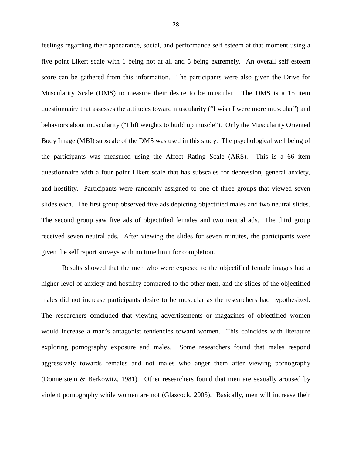feelings regarding their appearance, social, and performance self esteem at that moment using a five point Likert scale with 1 being not at all and 5 being extremely. An overall self esteem score can be gathered from this information. The participants were also given the Drive for Muscularity Scale (DMS) to measure their desire to be muscular. The DMS is a 15 item questionnaire that assesses the attitudes toward muscularity ("I wish I were more muscular") and behaviors about muscularity ("I lift weights to build up muscle"). Only the Muscularity Oriented Body Image (MBI) subscale of the DMS was used in this study. The psychological well being of the participants was measured using the Affect Rating Scale (ARS). This is a 66 item questionnaire with a four point Likert scale that has subscales for depression, general anxiety, and hostility. Participants were randomly assigned to one of three groups that viewed seven slides each. The first group observed five ads depicting objectified males and two neutral slides. The second group saw five ads of objectified females and two neutral ads. The third group received seven neutral ads. After viewing the slides for seven minutes, the participants were given the self report surveys with no time limit for completion.

Results showed that the men who were exposed to the objectified female images had a higher level of anxiety and hostility compared to the other men, and the slides of the objectified males did not increase participants desire to be muscular as the researchers had hypothesized. The researchers concluded that viewing advertisements or magazines of objectified women would increase a man's antagonist tendencies toward women. This coincides with literature exploring pornography exposure and males. Some researchers found that males respond aggressively towards females and not males who anger them after viewing pornography (Donnerstein & Berkowitz, 1981). Other researchers found that men are sexually aroused by violent pornography while women are not (Glascock, 2005). Basically, men will increase their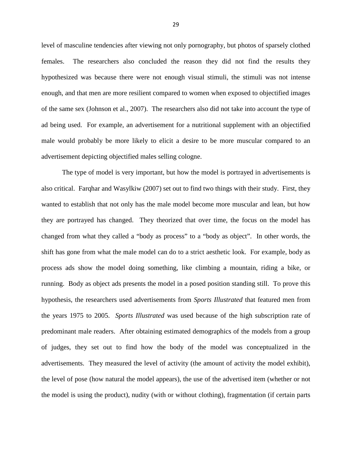level of masculine tendencies after viewing not only pornography, but photos of sparsely clothed females. The researchers also concluded the reason they did not find the results they hypothesized was because there were not enough visual stimuli, the stimuli was not intense enough, and that men are more resilient compared to women when exposed to objectified images of the same sex (Johnson et al., 2007). The researchers also did not take into account the type of ad being used. For example, an advertisement for a nutritional supplement with an objectified male would probably be more likely to elicit a desire to be more muscular compared to an advertisement depicting objectified males selling cologne.

The type of model is very important, but how the model is portrayed in advertisements is also critical. Farqhar and Wasylkiw (2007) set out to find two things with their study. First, they wanted to establish that not only has the male model become more muscular and lean, but how they are portrayed has changed. They theorized that over time, the focus on the model has changed from what they called a "body as process" to a "body as object". In other words, the shift has gone from what the male model can do to a strict aesthetic look. For example, body as process ads show the model doing something, like climbing a mountain, riding a bike, or running. Body as object ads presents the model in a posed position standing still. To prove this hypothesis, the researchers used advertisements from *Sports Illustrated* that featured men from the years 1975 to 2005. *Sports Illustrated* was used because of the high subscription rate of predominant male readers. After obtaining estimated demographics of the models from a group of judges, they set out to find how the body of the model was conceptualized in the advertisements. They measured the level of activity (the amount of activity the model exhibit), the level of pose (how natural the model appears), the use of the advertised item (whether or not the model is using the product), nudity (with or without clothing), fragmentation (if certain parts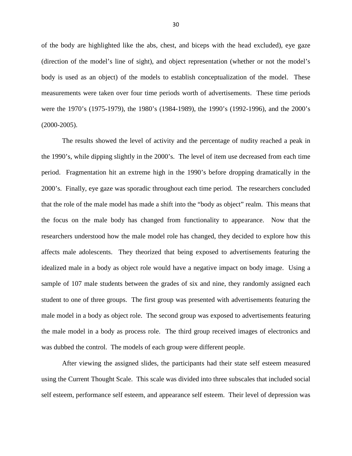of the body are highlighted like the abs, chest, and biceps with the head excluded), eye gaze (direction of the model's line of sight), and object representation (whether or not the model's body is used as an object) of the models to establish conceptualization of the model. These measurements were taken over four time periods worth of advertisements. These time periods were the 1970's (1975-1979), the 1980's (1984-1989), the 1990's (1992-1996), and the 2000's (2000-2005).

The results showed the level of activity and the percentage of nudity reached a peak in the 1990's, while dipping slightly in the 2000's. The level of item use decreased from each time period. Fragmentation hit an extreme high in the 1990's before dropping dramatically in the 2000's. Finally, eye gaze was sporadic throughout each time period. The researchers concluded that the role of the male model has made a shift into the "body as object" realm. This means that the focus on the male body has changed from functionality to appearance. Now that the researchers understood how the male model role has changed, they decided to explore how this affects male adolescents. They theorized that being exposed to advertisements featuring the idealized male in a body as object role would have a negative impact on body image. Using a sample of 107 male students between the grades of six and nine, they randomly assigned each student to one of three groups. The first group was presented with advertisements featuring the male model in a body as object role. The second group was exposed to advertisements featuring the male model in a body as process role. The third group received images of electronics and was dubbed the control. The models of each group were different people.

After viewing the assigned slides, the participants had their state self esteem measured using the Current Thought Scale. This scale was divided into three subscales that included social self esteem, performance self esteem, and appearance self esteem. Their level of depression was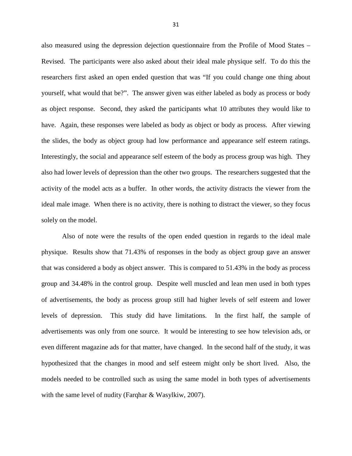also measured using the depression dejection questionnaire from the Profile of Mood States – Revised. The participants were also asked about their ideal male physique self. To do this the researchers first asked an open ended question that was "If you could change one thing about yourself, what would that be?". The answer given was either labeled as body as process or body as object response. Second, they asked the participants what 10 attributes they would like to have. Again, these responses were labeled as body as object or body as process. After viewing the slides, the body as object group had low performance and appearance self esteem ratings. Interestingly, the social and appearance self esteem of the body as process group was high. They also had lower levels of depression than the other two groups. The researchers suggested that the activity of the model acts as a buffer. In other words, the activity distracts the viewer from the ideal male image. When there is no activity, there is nothing to distract the viewer, so they focus solely on the model.

Also of note were the results of the open ended question in regards to the ideal male physique. Results show that 71.43% of responses in the body as object group gave an answer that was considered a body as object answer. This is compared to 51.43% in the body as process group and 34.48% in the control group. Despite well muscled and lean men used in both types of advertisements, the body as process group still had higher levels of self esteem and lower levels of depression. This study did have limitations. In the first half, the sample of advertisements was only from one source. It would be interesting to see how television ads, or even different magazine ads for that matter, have changed. In the second half of the study, it was hypothesized that the changes in mood and self esteem might only be short lived. Also, the models needed to be controlled such as using the same model in both types of advertisements with the same level of nudity (Farqhar & Wasylkiw, 2007).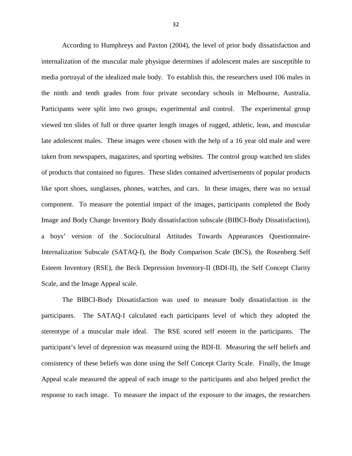According to Humphreys and Paxton (2004), the level of prior body dissatisfaction and internalization of the muscular male physique determines if adolescent males are susceptible to media portrayal of the idealized male body. To establish this, the researchers used 106 males in the ninth and tenth grades from four private secondary schools in Melbourne, Australia. Participants were split into two groups; experimental and control. The experimental group viewed ten slides of full or three quarter length images of rugged, athletic, lean, and muscular late adolescent males. These images were chosen with the help of a 16 year old male and were taken from newspapers, magazines, and sporting websites. The control group watched ten slides of products that contained no figures. These slides contained advertisements of popular products like sport shoes, sunglasses, phones, watches, and cars. In these images, there was no sexual component. To measure the potential impact of the images, participants completed the Body Image and Body Change Inventory Body dissatisfaction subscale (BIBCI-Body Dissatisfaction), a boys' version of the Sociocultural Attitudes Towards Appearances Questionnaire-Internalization Subscale (SATAQ-I), the Body Comparison Scale (BCS), the Rosenberg Self Esteem Inventory (RSE), the Beck Depression Inventory-II (BDI-II), the Self Concept Clarity Scale, and the Image Appeal scale.

The BIBCI-Body Dissatisfaction was used to measure body dissatisfaction in the participants. The SATAQ-I calculated each participants level of which they adopted the stereotype of a muscular male ideal. The RSE scored self esteem in the participants. The participant's level of depression was measured using the BDI-II. Measuring the self beliefs and consistency of these beliefs was done using the Self Concept Clarity Scale. Finally, the Image Appeal scale measured the appeal of each image to the participants and also helped predict the response to each image. To measure the impact of the exposure to the images, the researchers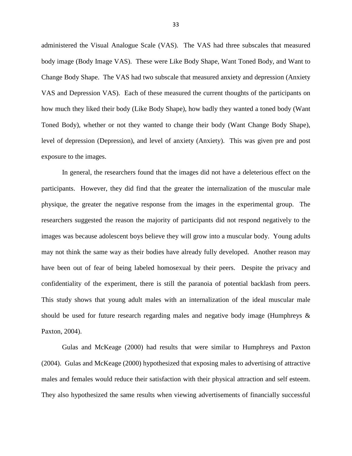administered the Visual Analogue Scale (VAS). The VAS had three subscales that measured body image (Body Image VAS). These were Like Body Shape, Want Toned Body, and Want to Change Body Shape. The VAS had two subscale that measured anxiety and depression (Anxiety VAS and Depression VAS). Each of these measured the current thoughts of the participants on how much they liked their body (Like Body Shape), how badly they wanted a toned body (Want Toned Body), whether or not they wanted to change their body (Want Change Body Shape), level of depression (Depression), and level of anxiety (Anxiety). This was given pre and post exposure to the images.

In general, the researchers found that the images did not have a deleterious effect on the participants. However, they did find that the greater the internalization of the muscular male physique, the greater the negative response from the images in the experimental group. The researchers suggested the reason the majority of participants did not respond negatively to the images was because adolescent boys believe they will grow into a muscular body. Young adults may not think the same way as their bodies have already fully developed. Another reason may have been out of fear of being labeled homosexual by their peers. Despite the privacy and confidentiality of the experiment, there is still the paranoia of potential backlash from peers. This study shows that young adult males with an internalization of the ideal muscular male should be used for future research regarding males and negative body image (Humphreys  $\&$ Paxton, 2004).

Gulas and McKeage (2000) had results that were similar to Humphreys and Paxton (2004). Gulas and McKeage (2000) hypothesized that exposing males to advertising of attractive males and females would reduce their satisfaction with their physical attraction and self esteem. They also hypothesized the same results when viewing advertisements of financially successful

33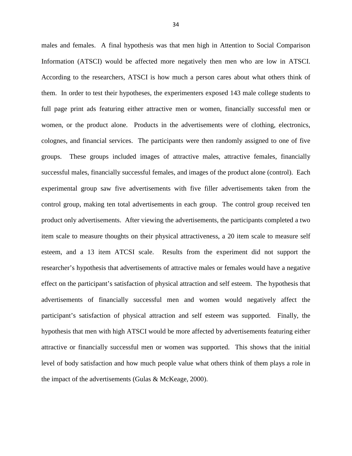males and females. A final hypothesis was that men high in Attention to Social Comparison Information (ATSCI) would be affected more negatively then men who are low in ATSCI. According to the researchers, ATSCI is how much a person cares about what others think of them. In order to test their hypotheses, the experimenters exposed 143 male college students to full page print ads featuring either attractive men or women, financially successful men or women, or the product alone. Products in the advertisements were of clothing, electronics, colognes, and financial services. The participants were then randomly assigned to one of five groups. These groups included images of attractive males, attractive females, financially successful males, financially successful females, and images of the product alone (control). Each experimental group saw five advertisements with five filler advertisements taken from the control group, making ten total advertisements in each group. The control group received ten product only advertisements. After viewing the advertisements, the participants completed a two item scale to measure thoughts on their physical attractiveness, a 20 item scale to measure self esteem, and a 13 item ATCSI scale. Results from the experiment did not support the researcher's hypothesis that advertisements of attractive males or females would have a negative effect on the participant's satisfaction of physical attraction and self esteem. The hypothesis that advertisements of financially successful men and women would negatively affect the participant's satisfaction of physical attraction and self esteem was supported. Finally, the hypothesis that men with high ATSCI would be more affected by advertisements featuring either attractive or financially successful men or women was supported. This shows that the initial level of body satisfaction and how much people value what others think of them plays a role in the impact of the advertisements (Gulas & McKeage, 2000).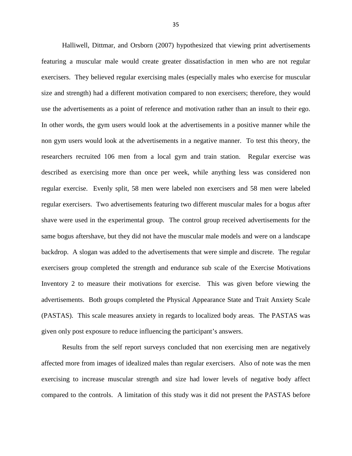Halliwell, Dittmar, and Orsborn (2007) hypothesized that viewing print advertisements featuring a muscular male would create greater dissatisfaction in men who are not regular exercisers. They believed regular exercising males (especially males who exercise for muscular size and strength) had a different motivation compared to non exercisers; therefore, they would use the advertisements as a point of reference and motivation rather than an insult to their ego. In other words, the gym users would look at the advertisements in a positive manner while the non gym users would look at the advertisements in a negative manner. To test this theory, the researchers recruited 106 men from a local gym and train station. Regular exercise was described as exercising more than once per week, while anything less was considered non regular exercise. Evenly split, 58 men were labeled non exercisers and 58 men were labeled regular exercisers. Two advertisements featuring two different muscular males for a bogus after shave were used in the experimental group. The control group received advertisements for the same bogus aftershave, but they did not have the muscular male models and were on a landscape backdrop. A slogan was added to the advertisements that were simple and discrete. The regular exercisers group completed the strength and endurance sub scale of the Exercise Motivations Inventory 2 to measure their motivations for exercise. This was given before viewing the advertisements. Both groups completed the Physical Appearance State and Trait Anxiety Scale (PASTAS). This scale measures anxiety in regards to localized body areas. The PASTAS was given only post exposure to reduce influencing the participant's answers.

Results from the self report surveys concluded that non exercising men are negatively affected more from images of idealized males than regular exercisers. Also of note was the men exercising to increase muscular strength and size had lower levels of negative body affect compared to the controls. A limitation of this study was it did not present the PASTAS before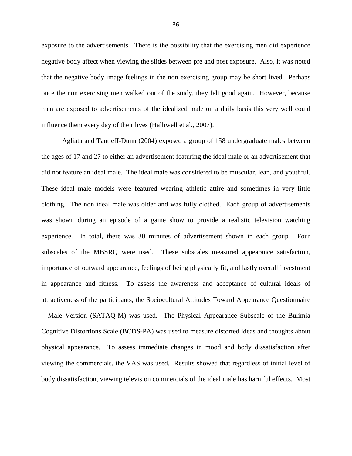exposure to the advertisements. There is the possibility that the exercising men did experience negative body affect when viewing the slides between pre and post exposure. Also, it was noted that the negative body image feelings in the non exercising group may be short lived. Perhaps once the non exercising men walked out of the study, they felt good again. However, because men are exposed to advertisements of the idealized male on a daily basis this very well could influence them every day of their lives (Halliwell et al., 2007).

Agliata and Tantleff-Dunn (2004) exposed a group of 158 undergraduate males between the ages of 17 and 27 to either an advertisement featuring the ideal male or an advertisement that did not feature an ideal male. The ideal male was considered to be muscular, lean, and youthful. These ideal male models were featured wearing athletic attire and sometimes in very little clothing. The non ideal male was older and was fully clothed. Each group of advertisements was shown during an episode of a game show to provide a realistic television watching experience. In total, there was 30 minutes of advertisement shown in each group. Four subscales of the MBSRQ were used. These subscales measured appearance satisfaction, importance of outward appearance, feelings of being physically fit, and lastly overall investment in appearance and fitness. To assess the awareness and acceptance of cultural ideals of attractiveness of the participants, the Sociocultural Attitudes Toward Appearance Questionnaire – Male Version (SATAQ-M) was used. The Physical Appearance Subscale of the Bulimia Cognitive Distortions Scale (BCDS-PA) was used to measure distorted ideas and thoughts about physical appearance. To assess immediate changes in mood and body dissatisfaction after viewing the commercials, the VAS was used. Results showed that regardless of initial level of body dissatisfaction, viewing television commercials of the ideal male has harmful effects. Most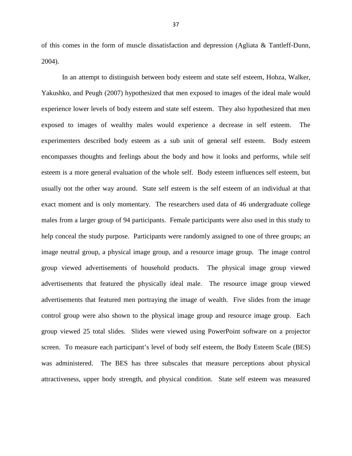of this comes in the form of muscle dissatisfaction and depression (Agliata & Tantleff-Dunn, 2004).

In an attempt to distinguish between body esteem and state self esteem, Hobza, Walker, Yakushko, and Peugh (2007) hypothesized that men exposed to images of the ideal male would experience lower levels of body esteem and state self esteem. They also hypothesized that men exposed to images of wealthy males would experience a decrease in self esteem. The experimenters described body esteem as a sub unit of general self esteem. Body esteem encompasses thoughts and feelings about the body and how it looks and performs, while self esteem is a more general evaluation of the whole self. Body esteem influences self esteem, but usually not the other way around. State self esteem is the self esteem of an individual at that exact moment and is only momentary. The researchers used data of 46 undergraduate college males from a larger group of 94 participants. Female participants were also used in this study to help conceal the study purpose. Participants were randomly assigned to one of three groups; an image neutral group, a physical image group, and a resource image group. The image control group viewed advertisements of household products. The physical image group viewed advertisements that featured the physically ideal male. The resource image group viewed advertisements that featured men portraying the image of wealth. Five slides from the image control group were also shown to the physical image group and resource image group. Each group viewed 25 total slides. Slides were viewed using PowerPoint software on a projector screen. To measure each participant's level of body self esteem, the Body Esteem Scale (BES) was administered. The BES has three subscales that measure perceptions about physical attractiveness, upper body strength, and physical condition. State self esteem was measured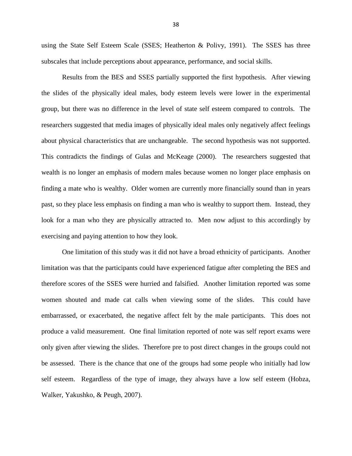using the State Self Esteem Scale (SSES; Heatherton & Polivy, 1991). The SSES has three subscales that include perceptions about appearance, performance, and social skills.

Results from the BES and SSES partially supported the first hypothesis. After viewing the slides of the physically ideal males, body esteem levels were lower in the experimental group, but there was no difference in the level of state self esteem compared to controls. The researchers suggested that media images of physically ideal males only negatively affect feelings about physical characteristics that are unchangeable. The second hypothesis was not supported. This contradicts the findings of Gulas and McKeage (2000). The researchers suggested that wealth is no longer an emphasis of modern males because women no longer place emphasis on finding a mate who is wealthy. Older women are currently more financially sound than in years past, so they place less emphasis on finding a man who is wealthy to support them. Instead, they look for a man who they are physically attracted to. Men now adjust to this accordingly by exercising and paying attention to how they look.

One limitation of this study was it did not have a broad ethnicity of participants. Another limitation was that the participants could have experienced fatigue after completing the BES and therefore scores of the SSES were hurried and falsified. Another limitation reported was some women shouted and made cat calls when viewing some of the slides. This could have embarrassed, or exacerbated, the negative affect felt by the male participants. This does not produce a valid measurement. One final limitation reported of note was self report exams were only given after viewing the slides. Therefore pre to post direct changes in the groups could not be assessed. There is the chance that one of the groups had some people who initially had low self esteem. Regardless of the type of image, they always have a low self esteem (Hobza, Walker, Yakushko, & Peugh, 2007).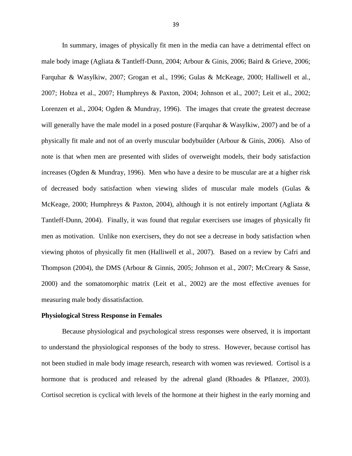In summary, images of physically fit men in the media can have a detrimental effect on male body image (Agliata & Tantleff-Dunn, 2004; Arbour & Ginis, 2006; Baird & Grieve, 2006; Farquhar & Wasylkiw, 2007; Grogan et al., 1996; Gulas & McKeage, 2000; Halliwell et al., 2007; Hobza et al., 2007; Humphreys & Paxton, 2004; Johnson et al., 2007; Leit et al., 2002; Lorenzen et al., 2004; Ogden & Mundray, 1996). The images that create the greatest decrease will generally have the male model in a posed posture (Farquhar & Wasylkiw, 2007) and be of a physically fit male and not of an overly muscular bodybuilder (Arbour & Ginis, 2006). Also of note is that when men are presented with slides of overweight models, their body satisfaction increases (Ogden & Mundray, 1996). Men who have a desire to be muscular are at a higher risk of decreased body satisfaction when viewing slides of muscular male models (Gulas  $\&$ McKeage, 2000; Humphreys & Paxton, 2004), although it is not entirely important (Agliata & Tantleff-Dunn, 2004). Finally, it was found that regular exercisers use images of physically fit men as motivation. Unlike non exercisers, they do not see a decrease in body satisfaction when viewing photos of physically fit men (Halliwell et al., 2007). Based on a review by Cafri and Thompson (2004), the DMS (Arbour & Ginnis, 2005; Johnson et al., 2007; McCreary & Sasse, 2000) and the somatomorphic matrix (Leit et al., 2002) are the most effective avenues for measuring male body dissatisfaction.

#### **Physiological Stress Response in Females**

Because physiological and psychological stress responses were observed, it is important to understand the physiological responses of the body to stress. However, because cortisol has not been studied in male body image research, research with women was reviewed. Cortisol is a hormone that is produced and released by the adrenal gland (Rhoades & Pflanzer, 2003). Cortisol secretion is cyclical with levels of the hormone at their highest in the early morning and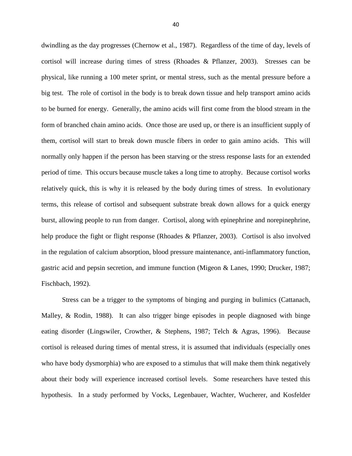dwindling as the day progresses (Chernow et al., 1987). Regardless of the time of day, levels of cortisol will increase during times of stress (Rhoades & Pflanzer, 2003). Stresses can be physical, like running a 100 meter sprint, or mental stress, such as the mental pressure before a big test. The role of cortisol in the body is to break down tissue and help transport amino acids to be burned for energy. Generally, the amino acids will first come from the blood stream in the form of branched chain amino acids. Once those are used up, or there is an insufficient supply of them, cortisol will start to break down muscle fibers in order to gain amino acids. This will normally only happen if the person has been starving or the stress response lasts for an extended period of time. This occurs because muscle takes a long time to atrophy. Because cortisol works relatively quick, this is why it is released by the body during times of stress. In evolutionary terms, this release of cortisol and subsequent substrate break down allows for a quick energy burst, allowing people to run from danger. Cortisol, along with epinephrine and norepinephrine, help produce the fight or flight response (Rhoades & Pflanzer, 2003). Cortisol is also involved in the regulation of calcium absorption, blood pressure maintenance, anti-inflammatory function, gastric acid and pepsin secretion, and immune function (Migeon & Lanes, 1990; Drucker, 1987; Fischbach, 1992).

Stress can be a trigger to the symptoms of binging and purging in bulimics (Cattanach, Malley, & Rodin, 1988). It can also trigger binge episodes in people diagnosed with binge eating disorder (Lingswiler, Crowther, & Stephens, 1987; Telch & Agras, 1996). Because cortisol is released during times of mental stress, it is assumed that individuals (especially ones who have body dysmorphia) who are exposed to a stimulus that will make them think negatively about their body will experience increased cortisol levels. Some researchers have tested this hypothesis. In a study performed by Vocks, Legenbauer, Wachter, Wucherer, and Kosfelder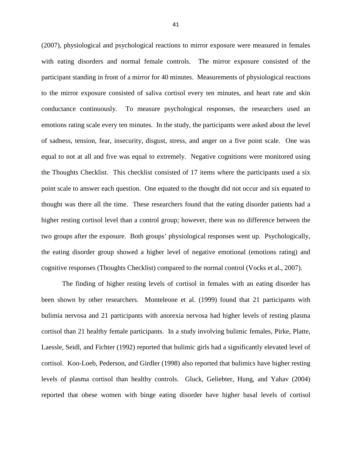(2007), physiological and psychological reactions to mirror exposure were measured in females with eating disorders and normal female controls. The mirror exposure consisted of the participant standing in front of a mirror for 40 minutes. Measurements of physiological reactions to the mirror exposure consisted of saliva cortisol every ten minutes, and heart rate and skin conductance continuously. To measure psychological responses, the researchers used an emotions rating scale every ten minutes. In the study, the participants were asked about the level of sadness, tension, fear, insecurity, disgust, stress, and anger on a five point scale. One was equal to not at all and five was equal to extremely. Negative cognitions were monitored using the Thoughts Checklist. This checklist consisted of 17 items where the participants used a six point scale to answer each question. One equated to the thought did not occur and six equated to thought was there all the time. These researchers found that the eating disorder patients had a higher resting cortisol level than a control group; however, there was no difference between the two groups after the exposure. Both groups' physiological responses went up. Psychologically, the eating disorder group showed a higher level of negative emotional (emotions rating) and cognitive responses (Thoughts Checklist) compared to the normal control (Vocks et al., 2007).

The finding of higher resting levels of cortisol in females with an eating disorder has been shown by other researchers. Monteleone et al. (1999) found that 21 participants with bulimia nervosa and 21 participants with anorexia nervosa had higher levels of resting plasma cortisol than 21 healthy female participants. In a study involving bulimic females, Pirke, Platte, Laessle, Seidl, and Fichter (1992) reported that bulimic girls had a significantly elevated level of cortisol. Koo-Loeb, Pederson, and Girdler (1998) also reported that bulimics have higher resting levels of plasma cortisol than healthy controls. Gluck, Geliebter, Hung, and Yahav (2004) reported that obese women with binge eating disorder have higher basal levels of cortisol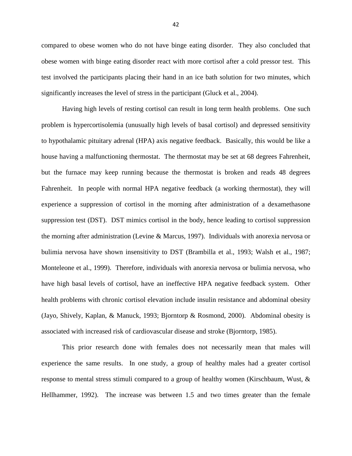compared to obese women who do not have binge eating disorder. They also concluded that obese women with binge eating disorder react with more cortisol after a cold pressor test. This test involved the participants placing their hand in an ice bath solution for two minutes, which significantly increases the level of stress in the participant (Gluck et al., 2004).

Having high levels of resting cortisol can result in long term health problems. One such problem is hypercortisolemia (unusually high levels of basal cortisol) and depressed sensitivity to hypothalamic pituitary adrenal (HPA) axis negative feedback. Basically, this would be like a house having a malfunctioning thermostat. The thermostat may be set at 68 degrees Fahrenheit, but the furnace may keep running because the thermostat is broken and reads 48 degrees Fahrenheit. In people with normal HPA negative feedback (a working thermostat), they will experience a suppression of cortisol in the morning after administration of a dexamethasone suppression test (DST). DST mimics cortisol in the body, hence leading to cortisol suppression the morning after administration (Levine & Marcus, 1997). Individuals with anorexia nervosa or bulimia nervosa have shown insensitivity to DST (Brambilla et al., 1993; Walsh et al., 1987; Monteleone et al., 1999). Therefore, individuals with anorexia nervosa or bulimia nervosa, who have high basal levels of cortisol, have an ineffective HPA negative feedback system. Other health problems with chronic cortisol elevation include insulin resistance and abdominal obesity (Jayo, Shively, Kaplan, & Manuck, 1993; Bjorntorp & Rosmond, 2000). Abdominal obesity is associated with increased risk of cardiovascular disease and stroke (Bjorntorp, 1985).

This prior research done with females does not necessarily mean that males will experience the same results. In one study, a group of healthy males had a greater cortisol response to mental stress stimuli compared to a group of healthy women (Kirschbaum, Wust, & Hellhammer, 1992). The increase was between 1.5 and two times greater than the female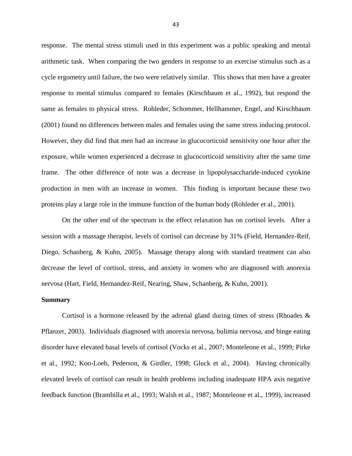response. The mental stress stimuli used in this experiment was a public speaking and mental arithmetic task. When comparing the two genders in response to an exercise stimulus such as a cycle ergometry until failure, the two were relatively similar. This shows that men have a greater response to mental stimulus compared to females (Kirschbaum et al., 1992), but respond the same as females to physical stress. Rohleder, Schommer, Hellhammer, Engel, and Kirschbaum (2001) found no differences between males and females using the same stress inducing protocol. However, they did find that men had an increase in glucocorticoid sensitivity one hour after the exposure, while women experienced a decrease in glucocorticoid sensitivity after the same time frame. The other difference of note was a decrease in lipopolysaccharide-induced cytokine production in men with an increase in women. This finding is important because these two proteins play a large role in the immune function of the human body (Rohleder et al., 2001).

On the other end of the spectrum is the effect relaxation has on cortisol levels. After a session with a massage therapist, levels of cortisol can decrease by 31% (Field, Hernandez-Reif, Diego, Schanberg, & Kuhn, 2005). Massage therapy along with standard treatment can also decrease the level of cortisol, stress, and anxiety in women who are diagnosed with anorexia nervosa (Hart, Field, Hernandez-Reif, Nearing, Shaw, Schanberg, & Kuhn, 2001).

#### **Summary**

Cortisol is a hormone released by the adrenal gland during times of stress (Rhoades  $\&$ Pflanzer, 2003). Individuals diagnosed with anorexia nervosa, bulimia nervosa, and binge eating disorder have elevated basal levels of cortisol (Vocks et al., 2007; Monteleone et al., 1999; Pirke et al., 1992; Koo-Loeb, Pederson, & Girdler, 1998; Gluck et al., 2004). Having chronically elevated levels of cortisol can result in health problems including inadequate HPA axis negative feedback function (Brambilla et al., 1993; Walsh et al., 1987; Monteleone et al., 1999), increased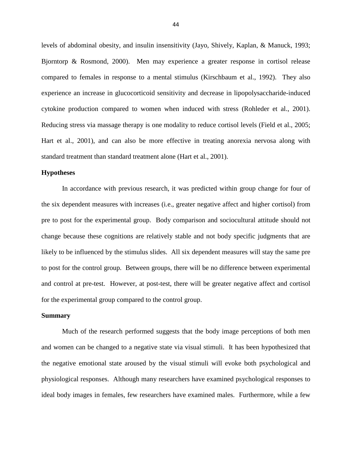levels of abdominal obesity, and insulin insensitivity (Jayo, Shively, Kaplan, & Manuck, 1993; Bjorntorp & Rosmond, 2000). Men may experience a greater response in cortisol release compared to females in response to a mental stimulus (Kirschbaum et al., 1992). They also experience an increase in glucocorticoid sensitivity and decrease in lipopolysaccharide-induced cytokine production compared to women when induced with stress (Rohleder et al., 2001). Reducing stress via massage therapy is one modality to reduce cortisol levels (Field et al., 2005; Hart et al., 2001), and can also be more effective in treating anorexia nervosa along with standard treatment than standard treatment alone (Hart et al., 2001).

#### **Hypotheses**

In accordance with previous research, it was predicted within group change for four of the six dependent measures with increases (i.e., greater negative affect and higher cortisol) from pre to post for the experimental group. Body comparison and sociocultural attitude should not change because these cognitions are relatively stable and not body specific judgments that are likely to be influenced by the stimulus slides. All six dependent measures will stay the same pre to post for the control group. Between groups, there will be no difference between experimental and control at pre-test. However, at post-test, there will be greater negative affect and cortisol for the experimental group compared to the control group.

#### **Summary**

 Much of the research performed suggests that the body image perceptions of both men and women can be changed to a negative state via visual stimuli. It has been hypothesized that the negative emotional state aroused by the visual stimuli will evoke both psychological and physiological responses. Although many researchers have examined psychological responses to ideal body images in females, few researchers have examined males. Furthermore, while a few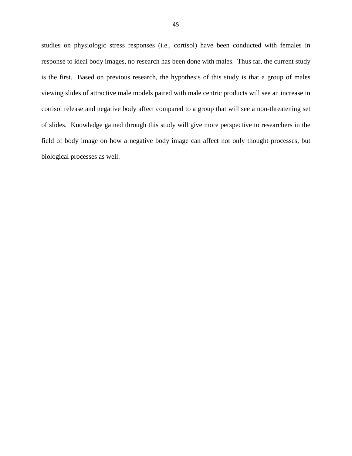studies on physiologic stress responses (i.e., cortisol) have been conducted with females in response to ideal body images, no research has been done with males. Thus far, the current study is the first. Based on previous research, the hypothesis of this study is that a group of males viewing slides of attractive male models paired with male centric products will see an increase in cortisol release and negative body affect compared to a group that will see a non-threatening set of slides. Knowledge gained through this study will give more perspective to researchers in the field of body image on how a negative body image can affect not only thought processes, but biological processes as well.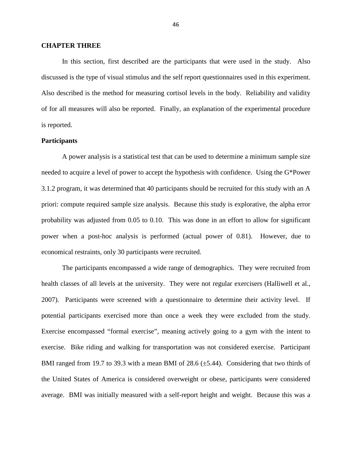#### **CHAPTER THREE**

In this section, first described are the participants that were used in the study. Also discussed is the type of visual stimulus and the self report questionnaires used in this experiment. Also described is the method for measuring cortisol levels in the body. Reliability and validity of for all measures will also be reported. Finally, an explanation of the experimental procedure is reported.

#### **Participants**

A power analysis is a statistical test that can be used to determine a minimum sample size needed to acquire a level of power to accept the hypothesis with confidence. Using the G\*Power 3.1.2 program, it was determined that 40 participants should be recruited for this study with an A priori: compute required sample size analysis. Because this study is explorative, the alpha error probability was adjusted from 0.05 to 0.10. This was done in an effort to allow for significant power when a post-hoc analysis is performed (actual power of 0.81). However, due to economical restraints, only 30 participants were recruited.

The participants encompassed a wide range of demographics. They were recruited from health classes of all levels at the university. They were not regular exercisers (Halliwell et al., 2007). Participants were screened with a questionnaire to determine their activity level. If potential participants exercised more than once a week they were excluded from the study. Exercise encompassed "formal exercise", meaning actively going to a gym with the intent to exercise. Bike riding and walking for transportation was not considered exercise. Participant BMI ranged from 19.7 to 39.3 with a mean BMI of  $28.6 \ (\pm 5.44)$ . Considering that two thirds of the United States of America is considered overweight or obese, participants were considered average. BMI was initially measured with a self-report height and weight. Because this was a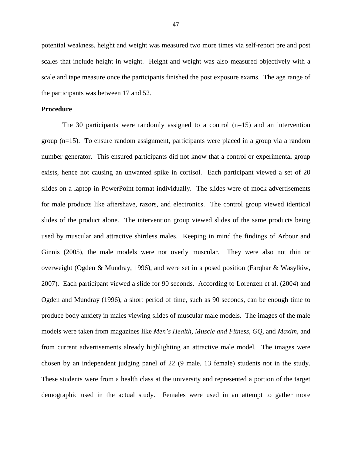potential weakness, height and weight was measured two more times via self-report pre and post scales that include height in weight. Height and weight was also measured objectively with a scale and tape measure once the participants finished the post exposure exams. The age range of the participants was between 17 and 52.

#### **Procedure**

The 30 participants were randomly assigned to a control  $(n=15)$  and an intervention group (n=15). To ensure random assignment, participants were placed in a group via a random number generator. This ensured participants did not know that a control or experimental group exists, hence not causing an unwanted spike in cortisol. Each participant viewed a set of 20 slides on a laptop in PowerPoint format individually. The slides were of mock advertisements for male products like aftershave, razors, and electronics. The control group viewed identical slides of the product alone. The intervention group viewed slides of the same products being used by muscular and attractive shirtless males. Keeping in mind the findings of Arbour and Ginnis (2005), the male models were not overly muscular. They were also not thin or overweight (Ogden & Mundray, 1996), and were set in a posed position (Farqhar & Wasylkiw, 2007). Each participant viewed a slide for 90 seconds. According to Lorenzen et al. (2004) and Ogden and Mundray (1996), a short period of time, such as 90 seconds, can be enough time to produce body anxiety in males viewing slides of muscular male models. The images of the male models were taken from magazines like *Men's Health, Muscle and Fitness, GQ,* and *Maxim,* and from current advertisements already highlighting an attractive male model*.* The images were chosen by an independent judging panel of 22 (9 male, 13 female) students not in the study. These students were from a health class at the university and represented a portion of the target demographic used in the actual study. Females were used in an attempt to gather more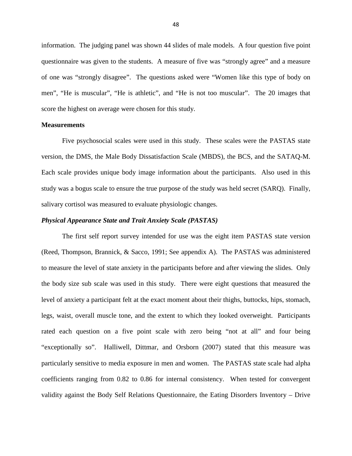information. The judging panel was shown 44 slides of male models. A four question five point questionnaire was given to the students. A measure of five was "strongly agree" and a measure of one was "strongly disagree". The questions asked were "Women like this type of body on men", "He is muscular", "He is athletic", and "He is not too muscular". The 20 images that score the highest on average were chosen for this study.

#### **Measurements**

 Five psychosocial scales were used in this study. These scales were the PASTAS state version, the DMS, the Male Body Dissatisfaction Scale (MBDS), the BCS, and the SATAQ-M. Each scale provides unique body image information about the participants. Also used in this study was a bogus scale to ensure the true purpose of the study was held secret (SARQ). Finally, salivary cortisol was measured to evaluate physiologic changes.

#### *Physical Appearance State and Trait Anxiety Scale (PASTAS)*

 The first self report survey intended for use was the eight item PASTAS state version (Reed, Thompson, Brannick, & Sacco, 1991; See appendix A). The PASTAS was administered to measure the level of state anxiety in the participants before and after viewing the slides. Only the body size sub scale was used in this study. There were eight questions that measured the level of anxiety a participant felt at the exact moment about their thighs, buttocks, hips, stomach, legs, waist, overall muscle tone, and the extent to which they looked overweight. Participants rated each question on a five point scale with zero being "not at all" and four being "exceptionally so". Halliwell, Dittmar, and Orsborn (2007) stated that this measure was particularly sensitive to media exposure in men and women. The PASTAS state scale had alpha coefficients ranging from 0.82 to 0.86 for internal consistency. When tested for convergent validity against the Body Self Relations Questionnaire, the Eating Disorders Inventory – Drive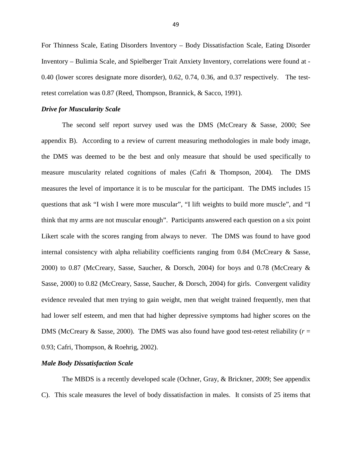For Thinness Scale, Eating Disorders Inventory – Body Dissatisfaction Scale, Eating Disorder Inventory – Bulimia Scale, and Spielberger Trait Anxiety Inventory, correlations were found at - 0.40 (lower scores designate more disorder), 0.62, 0.74, 0.36, and 0.37 respectively. The testretest correlation was 0.87 (Reed, Thompson, Brannick, & Sacco, 1991).

#### *Drive for Muscularity Scale*

 The second self report survey used was the DMS (McCreary & Sasse, 2000; See appendix B). According to a review of current measuring methodologies in male body image, the DMS was deemed to be the best and only measure that should be used specifically to measure muscularity related cognitions of males (Cafri & Thompson, 2004). The DMS measures the level of importance it is to be muscular for the participant. The DMS includes 15 questions that ask "I wish I were more muscular", "I lift weights to build more muscle", and "I think that my arms are not muscular enough". Participants answered each question on a six point Likert scale with the scores ranging from always to never. The DMS was found to have good internal consistency with alpha reliability coefficients ranging from  $0.84$  (McCreary  $\&$  Sasse, 2000) to 0.87 (McCreary, Sasse, Saucher, & Dorsch, 2004) for boys and 0.78 (McCreary & Sasse, 2000) to 0.82 (McCreary, Sasse, Saucher, & Dorsch, 2004) for girls. Convergent validity evidence revealed that men trying to gain weight, men that weight trained frequently, men that had lower self esteem, and men that had higher depressive symptoms had higher scores on the DMS (McCreary  $\&$  Sasse, 2000). The DMS was also found have good test-retest reliability ( $r =$ 0.93; Cafri, Thompson, & Roehrig, 2002).

#### *Male Body Dissatisfaction Scale*

 The MBDS is a recently developed scale (Ochner, Gray, & Brickner, 2009; See appendix C). This scale measures the level of body dissatisfaction in males. It consists of 25 items that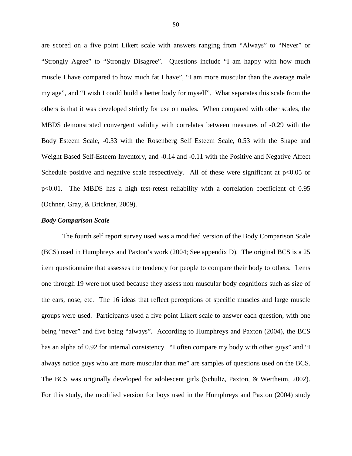are scored on a five point Likert scale with answers ranging from "Always" to "Never" or "Strongly Agree" to "Strongly Disagree". Questions include "I am happy with how much muscle I have compared to how much fat I have", "I am more muscular than the average male my age", and "I wish I could build a better body for myself". What separates this scale from the others is that it was developed strictly for use on males. When compared with other scales, the MBDS demonstrated convergent validity with correlates between measures of -0.29 with the Body Esteem Scale, -0.33 with the Rosenberg Self Esteem Scale, 0.53 with the Shape and Weight Based Self-Esteem Inventory, and -0.14 and -0.11 with the Positive and Negative Affect Schedule positive and negative scale respectively. All of these were significant at  $p<0.05$  or p<0.01. The MBDS has a high test-retest reliability with a correlation coefficient of 0.95 (Ochner, Gray, & Brickner, 2009).

#### *Body Comparison Scale*

The fourth self report survey used was a modified version of the Body Comparison Scale (BCS) used in Humphreys and Paxton's work (2004; See appendix D). The original BCS is a 25 item questionnaire that assesses the tendency for people to compare their body to others. Items one through 19 were not used because they assess non muscular body cognitions such as size of the ears, nose, etc. The 16 ideas that reflect perceptions of specific muscles and large muscle groups were used. Participants used a five point Likert scale to answer each question, with one being "never" and five being "always". According to Humphreys and Paxton (2004), the BCS has an alpha of 0.92 for internal consistency. "I often compare my body with other guys" and "I always notice guys who are more muscular than me" are samples of questions used on the BCS. The BCS was originally developed for adolescent girls (Schultz, Paxton, & Wertheim, 2002). For this study, the modified version for boys used in the Humphreys and Paxton (2004) study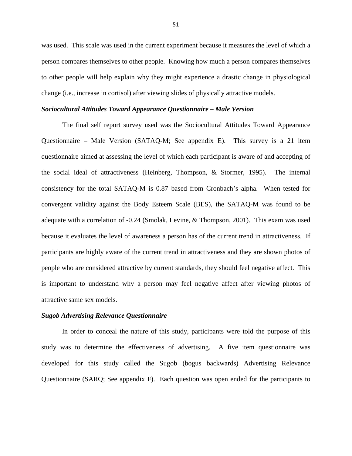was used. This scale was used in the current experiment because it measures the level of which a person compares themselves to other people. Knowing how much a person compares themselves to other people will help explain why they might experience a drastic change in physiological change (i.e., increase in cortisol) after viewing slides of physically attractive models.

#### *Sociocultural Attitudes Toward Appearance Questionnaire – Male Version*

 The final self report survey used was the Sociocultural Attitudes Toward Appearance Questionnaire – Male Version (SATAQ-M; See appendix E). This survey is a 21 item questionnaire aimed at assessing the level of which each participant is aware of and accepting of the social ideal of attractiveness (Heinberg, Thompson, & Stormer, 1995). The internal consistency for the total SATAQ-M is 0.87 based from Cronbach's alpha. When tested for convergent validity against the Body Esteem Scale (BES), the SATAQ-M was found to be adequate with a correlation of -0.24 (Smolak, Levine, & Thompson, 2001). This exam was used because it evaluates the level of awareness a person has of the current trend in attractiveness. If participants are highly aware of the current trend in attractiveness and they are shown photos of people who are considered attractive by current standards, they should feel negative affect. This is important to understand why a person may feel negative affect after viewing photos of attractive same sex models.

#### *Sugob Advertising Relevance Questionnaire*

In order to conceal the nature of this study, participants were told the purpose of this study was to determine the effectiveness of advertising. A five item questionnaire was developed for this study called the Sugob (bogus backwards) Advertising Relevance Questionnaire (SARQ; See appendix F). Each question was open ended for the participants to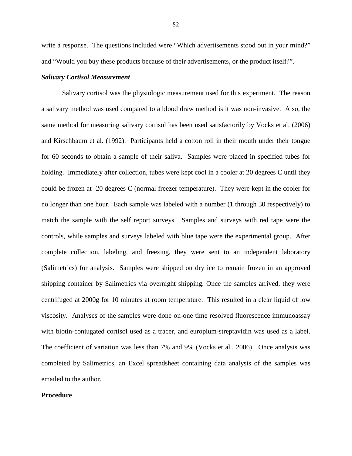write a response. The questions included were "Which advertisements stood out in your mind?" and "Would you buy these products because of their advertisements, or the product itself?".

#### *Salivary Cortisol Measurement*

 Salivary cortisol was the physiologic measurement used for this experiment. The reason a salivary method was used compared to a blood draw method is it was non-invasive. Also, the same method for measuring salivary cortisol has been used satisfactorily by Vocks et al. (2006) and Kirschbaum et al. (1992). Participants held a cotton roll in their mouth under their tongue for 60 seconds to obtain a sample of their saliva. Samples were placed in specified tubes for holding. Immediately after collection, tubes were kept cool in a cooler at 20 degrees C until they could be frozen at -20 degrees C (normal freezer temperature). They were kept in the cooler for no longer than one hour. Each sample was labeled with a number (1 through 30 respectively) to match the sample with the self report surveys. Samples and surveys with red tape were the controls, while samples and surveys labeled with blue tape were the experimental group. After complete collection, labeling, and freezing, they were sent to an independent laboratory (Salimetrics) for analysis. Samples were shipped on dry ice to remain frozen in an approved shipping container by Salimetrics via overnight shipping. Once the samples arrived, they were centrifuged at 2000g for 10 minutes at room temperature. This resulted in a clear liquid of low viscosity. Analyses of the samples were done on-one time resolved fluorescence immunoassay with biotin-conjugated cortisol used as a tracer, and europium-streptavidin was used as a label. The coefficient of variation was less than 7% and 9% (Vocks et al., 2006). Once analysis was completed by Salimetrics, an Excel spreadsheet containing data analysis of the samples was emailed to the author.

#### **Procedure**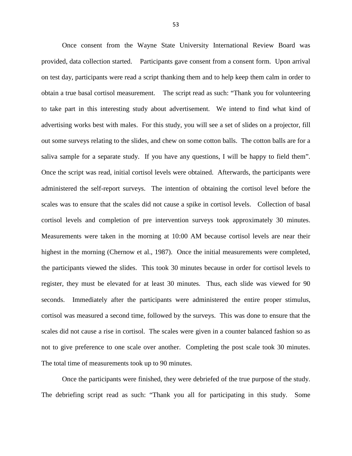Once consent from the Wayne State University International Review Board was provided, data collection started. Participants gave consent from a consent form. Upon arrival on test day, participants were read a script thanking them and to help keep them calm in order to obtain a true basal cortisol measurement. The script read as such: "Thank you for volunteering to take part in this interesting study about advertisement. We intend to find what kind of advertising works best with males. For this study, you will see a set of slides on a projector, fill out some surveys relating to the slides, and chew on some cotton balls. The cotton balls are for a saliva sample for a separate study. If you have any questions, I will be happy to field them". Once the script was read, initial cortisol levels were obtained. Afterwards, the participants were administered the self-report surveys. The intention of obtaining the cortisol level before the scales was to ensure that the scales did not cause a spike in cortisol levels. Collection of basal cortisol levels and completion of pre intervention surveys took approximately 30 minutes. Measurements were taken in the morning at 10:00 AM because cortisol levels are near their highest in the morning (Chernow et al., 1987). Once the initial measurements were completed, the participants viewed the slides. This took 30 minutes because in order for cortisol levels to register, they must be elevated for at least 30 minutes. Thus, each slide was viewed for 90 seconds. Immediately after the participants were administered the entire proper stimulus, cortisol was measured a second time, followed by the surveys. This was done to ensure that the scales did not cause a rise in cortisol. The scales were given in a counter balanced fashion so as not to give preference to one scale over another. Completing the post scale took 30 minutes. The total time of measurements took up to 90 minutes.

 Once the participants were finished, they were debriefed of the true purpose of the study. The debriefing script read as such: "Thank you all for participating in this study. Some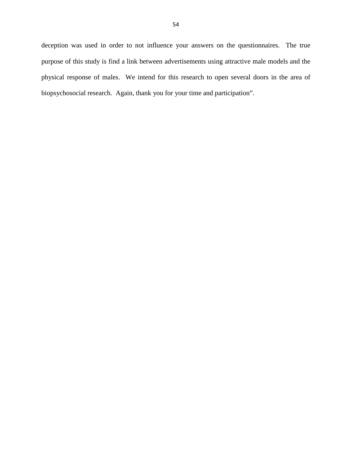deception was used in order to not influence your answers on the questionnaires. The true purpose of this study is find a link between advertisements using attractive male models and the physical response of males. We intend for this research to open several doors in the area of biopsychosocial research. Again, thank you for your time and participation".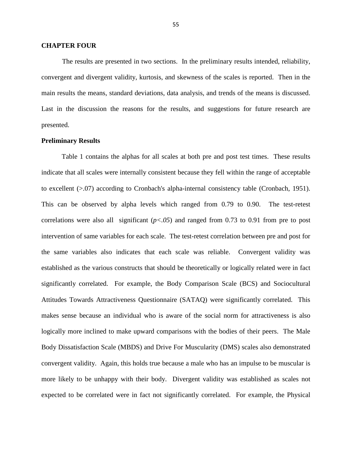#### **CHAPTER FOUR**

 The results are presented in two sections. In the preliminary results intended, reliability, convergent and divergent validity, kurtosis, and skewness of the scales is reported. Then in the main results the means, standard deviations, data analysis, and trends of the means is discussed. Last in the discussion the reasons for the results, and suggestions for future research are presented.

#### **Preliminary Results**

Table 1 contains the alphas for all scales at both pre and post test times. These results indicate that all scales were internally consistent because they fell within the range of acceptable to excellent (>.07) according to Cronbach's alpha-internal consistency table (Cronbach, 1951). This can be observed by alpha levels which ranged from 0.79 to 0.90. The test-retest correlations were also all significant (*p<.05*) and ranged from 0.73 to 0.91 from pre to post intervention of same variables for each scale. The test-retest correlation between pre and post for the same variables also indicates that each scale was reliable. Convergent validity was established as the various constructs that should be theoretically or logically related were in fact significantly correlated. For example, the Body Comparison Scale (BCS) and Sociocultural Attitudes Towards Attractiveness Questionnaire (SATAQ) were significantly correlated. This makes sense because an individual who is aware of the social norm for attractiveness is also logically more inclined to make upward comparisons with the bodies of their peers. The Male Body Dissatisfaction Scale (MBDS) and Drive For Muscularity (DMS) scales also demonstrated convergent validity. Again, this holds true because a male who has an impulse to be muscular is more likely to be unhappy with their body. Divergent validity was established as scales not expected to be correlated were in fact not significantly correlated. For example, the Physical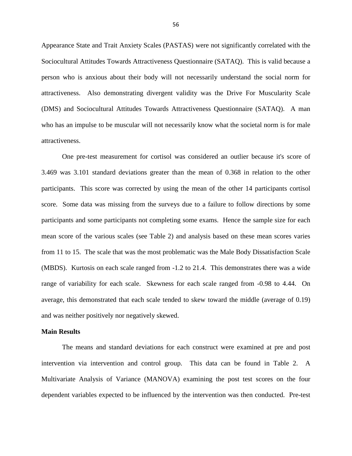Appearance State and Trait Anxiety Scales (PASTAS) were not significantly correlated with the Sociocultural Attitudes Towards Attractiveness Questionnaire (SATAQ). This is valid because a person who is anxious about their body will not necessarily understand the social norm for attractiveness. Also demonstrating divergent validity was the Drive For Muscularity Scale (DMS) and Sociocultural Attitudes Towards Attractiveness Questionnaire (SATAQ). A man who has an impulse to be muscular will not necessarily know what the societal norm is for male attractiveness.

 One pre-test measurement for cortisol was considered an outlier because it's score of 3.469 was 3.101 standard deviations greater than the mean of 0.368 in relation to the other participants. This score was corrected by using the mean of the other 14 participants cortisol score. Some data was missing from the surveys due to a failure to follow directions by some participants and some participants not completing some exams. Hence the sample size for each mean score of the various scales (see Table 2) and analysis based on these mean scores varies from 11 to 15. The scale that was the most problematic was the Male Body Dissatisfaction Scale (MBDS). Kurtosis on each scale ranged from -1.2 to 21.4. This demonstrates there was a wide range of variability for each scale. Skewness for each scale ranged from -0.98 to 4.44. On average, this demonstrated that each scale tended to skew toward the middle (average of 0.19) and was neither positively nor negatively skewed.

#### **Main Results**

 The means and standard deviations for each construct were examined at pre and post intervention via intervention and control group. This data can be found in Table 2. A Multivariate Analysis of Variance (MANOVA) examining the post test scores on the four dependent variables expected to be influenced by the intervention was then conducted. Pre-test

56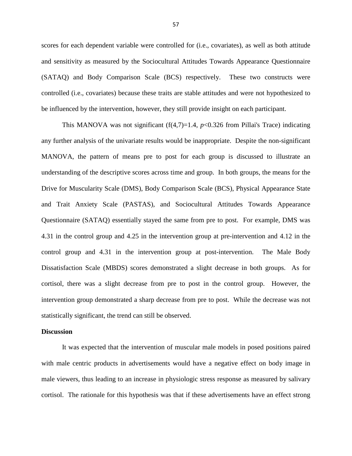scores for each dependent variable were controlled for (i.e., covariates), as well as both attitude and sensitivity as measured by the Sociocultural Attitudes Towards Appearance Questionnaire (SATAQ) and Body Comparison Scale (BCS) respectively. These two constructs were controlled (i.e., covariates) because these traits are stable attitudes and were not hypothesized to be influenced by the intervention, however, they still provide insight on each participant.

This MANOVA was not significant  $(f(4,7)=1.4, p<0.326$  from Pillai's Trace) indicating any further analysis of the univariate results would be inappropriate. Despite the non-significant MANOVA, the pattern of means pre to post for each group is discussed to illustrate an understanding of the descriptive scores across time and group. In both groups, the means for the Drive for Muscularity Scale (DMS), Body Comparison Scale (BCS), Physical Appearance State and Trait Anxiety Scale (PASTAS), and Sociocultural Attitudes Towards Appearance Questionnaire (SATAQ) essentially stayed the same from pre to post. For example, DMS was 4.31 in the control group and 4.25 in the intervention group at pre-intervention and 4.12 in the control group and 4.31 in the intervention group at post-intervention. The Male Body Dissatisfaction Scale (MBDS) scores demonstrated a slight decrease in both groups. As for cortisol, there was a slight decrease from pre to post in the control group. However, the intervention group demonstrated a sharp decrease from pre to post. While the decrease was not statistically significant, the trend can still be observed.

#### **Discussion**

 It was expected that the intervention of muscular male models in posed positions paired with male centric products in advertisements would have a negative effect on body image in male viewers, thus leading to an increase in physiologic stress response as measured by salivary cortisol. The rationale for this hypothesis was that if these advertisements have an effect strong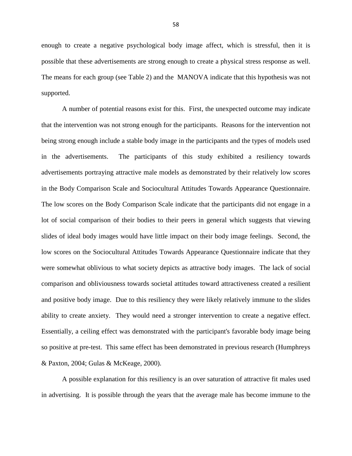enough to create a negative psychological body image affect, which is stressful, then it is possible that these advertisements are strong enough to create a physical stress response as well. The means for each group (see Table 2) and the MANOVA indicate that this hypothesis was not supported.

 A number of potential reasons exist for this. First, the unexpected outcome may indicate that the intervention was not strong enough for the participants. Reasons for the intervention not being strong enough include a stable body image in the participants and the types of models used in the advertisements. The participants of this study exhibited a resiliency towards advertisements portraying attractive male models as demonstrated by their relatively low scores in the Body Comparison Scale and Sociocultural Attitudes Towards Appearance Questionnaire. The low scores on the Body Comparison Scale indicate that the participants did not engage in a lot of social comparison of their bodies to their peers in general which suggests that viewing slides of ideal body images would have little impact on their body image feelings. Second, the low scores on the Sociocultural Attitudes Towards Appearance Questionnaire indicate that they were somewhat oblivious to what society depicts as attractive body images. The lack of social comparison and obliviousness towards societal attitudes toward attractiveness created a resilient and positive body image. Due to this resiliency they were likely relatively immune to the slides ability to create anxiety. They would need a stronger intervention to create a negative effect. Essentially, a ceiling effect was demonstrated with the participant's favorable body image being so positive at pre-test. This same effect has been demonstrated in previous research (Humphreys & Paxton, 2004; Gulas & McKeage, 2000).

 A possible explanation for this resiliency is an over saturation of attractive fit males used in advertising. It is possible through the years that the average male has become immune to the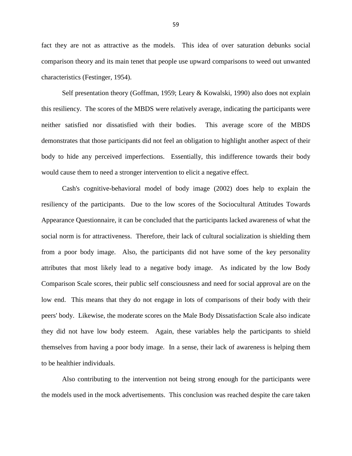fact they are not as attractive as the models. This idea of over saturation debunks social comparison theory and its main tenet that people use upward comparisons to weed out unwanted characteristics (Festinger, 1954).

 Self presentation theory (Goffman, 1959; Leary & Kowalski, 1990) also does not explain this resiliency. The scores of the MBDS were relatively average, indicating the participants were neither satisfied nor dissatisfied with their bodies. This average score of the MBDS demonstrates that those participants did not feel an obligation to highlight another aspect of their body to hide any perceived imperfections. Essentially, this indifference towards their body would cause them to need a stronger intervention to elicit a negative effect.

 Cash's cognitive-behavioral model of body image (2002) does help to explain the resiliency of the participants. Due to the low scores of the Sociocultural Attitudes Towards Appearance Questionnaire, it can be concluded that the participants lacked awareness of what the social norm is for attractiveness. Therefore, their lack of cultural socialization is shielding them from a poor body image. Also, the participants did not have some of the key personality attributes that most likely lead to a negative body image. As indicated by the low Body Comparison Scale scores, their public self consciousness and need for social approval are on the low end. This means that they do not engage in lots of comparisons of their body with their peers' body. Likewise, the moderate scores on the Male Body Dissatisfaction Scale also indicate they did not have low body esteem. Again, these variables help the participants to shield themselves from having a poor body image. In a sense, their lack of awareness is helping them to be healthier individuals.

 Also contributing to the intervention not being strong enough for the participants were the models used in the mock advertisements. This conclusion was reached despite the care taken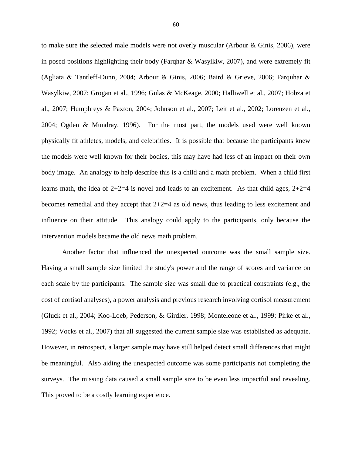to make sure the selected male models were not overly muscular (Arbour & Ginis, 2006), were in posed positions highlighting their body (Farqhar & Wasylkiw, 2007), and were extremely fit (Agliata & Tantleff-Dunn, 2004; Arbour & Ginis, 2006; Baird & Grieve, 2006; Farquhar & Wasylkiw, 2007; Grogan et al., 1996; Gulas & McKeage, 2000; Halliwell et al., 2007; Hobza et al., 2007; Humphreys & Paxton, 2004; Johnson et al., 2007; Leit et al., 2002; Lorenzen et al., 2004; Ogden & Mundray, 1996). For the most part, the models used were well known physically fit athletes, models, and celebrities. It is possible that because the participants knew the models were well known for their bodies, this may have had less of an impact on their own body image. An analogy to help describe this is a child and a math problem. When a child first learns math, the idea of  $2+2=4$  is novel and leads to an excitement. As that child ages,  $2+2=4$ becomes remedial and they accept that  $2+2=4$  as old news, thus leading to less excitement and influence on their attitude. This analogy could apply to the participants, only because the intervention models became the old news math problem.

 Another factor that influenced the unexpected outcome was the small sample size. Having a small sample size limited the study's power and the range of scores and variance on each scale by the participants. The sample size was small due to practical constraints (e.g., the cost of cortisol analyses), a power analysis and previous research involving cortisol measurement (Gluck et al., 2004; Koo-Loeb, Pederson, & Girdler, 1998; Monteleone et al., 1999; Pirke et al., 1992; Vocks et al., 2007) that all suggested the current sample size was established as adequate. However, in retrospect, a larger sample may have still helped detect small differences that might be meaningful. Also aiding the unexpected outcome was some participants not completing the surveys. The missing data caused a small sample size to be even less impactful and revealing. This proved to be a costly learning experience.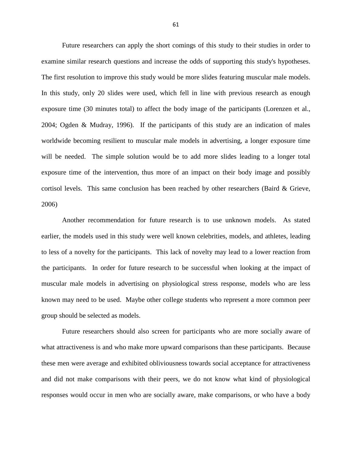Future researchers can apply the short comings of this study to their studies in order to examine similar research questions and increase the odds of supporting this study's hypotheses. The first resolution to improve this study would be more slides featuring muscular male models. In this study, only 20 slides were used, which fell in line with previous research as enough exposure time (30 minutes total) to affect the body image of the participants (Lorenzen et al., 2004; Ogden & Mudray, 1996). If the participants of this study are an indication of males worldwide becoming resilient to muscular male models in advertising, a longer exposure time will be needed. The simple solution would be to add more slides leading to a longer total exposure time of the intervention, thus more of an impact on their body image and possibly cortisol levels. This same conclusion has been reached by other researchers (Baird & Grieve, 2006)

 Another recommendation for future research is to use unknown models. As stated earlier, the models used in this study were well known celebrities, models, and athletes, leading to less of a novelty for the participants. This lack of novelty may lead to a lower reaction from the participants. In order for future research to be successful when looking at the impact of muscular male models in advertising on physiological stress response, models who are less known may need to be used. Maybe other college students who represent a more common peer group should be selected as models.

 Future researchers should also screen for participants who are more socially aware of what attractiveness is and who make more upward comparisons than these participants. Because these men were average and exhibited obliviousness towards social acceptance for attractiveness and did not make comparisons with their peers, we do not know what kind of physiological responses would occur in men who are socially aware, make comparisons, or who have a body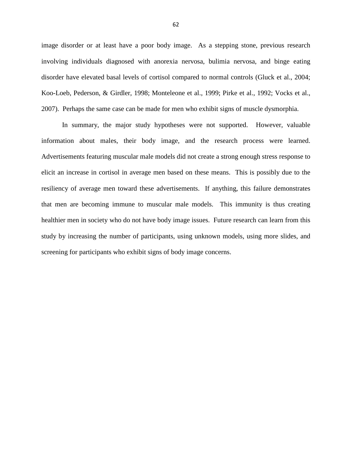image disorder or at least have a poor body image. As a stepping stone, previous research involving individuals diagnosed with anorexia nervosa, bulimia nervosa, and binge eating disorder have elevated basal levels of cortisol compared to normal controls (Gluck et al., 2004; Koo-Loeb, Pederson, & Girdler, 1998; Monteleone et al., 1999; Pirke et al., 1992; Vocks et al., 2007). Perhaps the same case can be made for men who exhibit signs of muscle dysmorphia.

 In summary, the major study hypotheses were not supported. However, valuable information about males, their body image, and the research process were learned. Advertisements featuring muscular male models did not create a strong enough stress response to elicit an increase in cortisol in average men based on these means. This is possibly due to the resiliency of average men toward these advertisements. If anything, this failure demonstrates that men are becoming immune to muscular male models. This immunity is thus creating healthier men in society who do not have body image issues. Future research can learn from this study by increasing the number of participants, using unknown models, using more slides, and screening for participants who exhibit signs of body image concerns.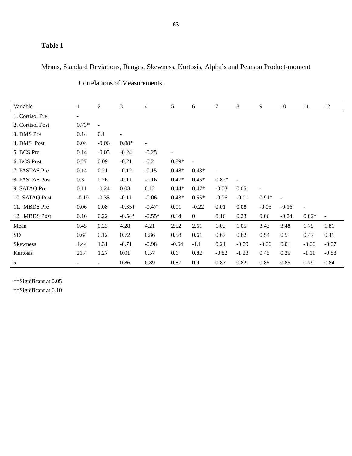### **Table 1**

Means, Standard Deviations, Ranges, Skewness, Kurtosis, Alpha's and Pearson Product-moment

| Variable         | 1                        | $\overline{2}$           | 3                        | $\overline{4}$           | 5                        | 6                | $\tau$                   | 8       | 9                        | 10             | 11                       | 12                       |
|------------------|--------------------------|--------------------------|--------------------------|--------------------------|--------------------------|------------------|--------------------------|---------|--------------------------|----------------|--------------------------|--------------------------|
| 1. Cortisol Pre  | $\overline{\phantom{a}}$ |                          |                          |                          |                          |                  |                          |         |                          |                |                          |                          |
| 2. Cortisol Post | $0.73*$                  | $\equiv$                 |                          |                          |                          |                  |                          |         |                          |                |                          |                          |
| 3. DMS Pre       | 0.14                     | 0.1                      | $\overline{\phantom{a}}$ |                          |                          |                  |                          |         |                          |                |                          |                          |
| 4. DMS Post      | 0.04                     | $-0.06$                  | $0.88*$                  | $\overline{\phantom{a}}$ |                          |                  |                          |         |                          |                |                          |                          |
| 5. BCS Pre       | 0.14                     | $-0.05$                  | $-0.24$                  | $-0.25$                  | $\overline{\phantom{a}}$ |                  |                          |         |                          |                |                          |                          |
| 6. BCS Post      | 0.27                     | 0.09                     | $-0.21$                  | $-0.2$                   | $0.89*$                  |                  |                          |         |                          |                |                          |                          |
| 7. PASTAS Pre    | 0.14                     | 0.21                     | $-0.12$                  | $-0.15$                  | $0.48*$                  | $0.43*$          | $\overline{\phantom{a}}$ |         |                          |                |                          |                          |
| 8. PASTAS Post   | 0.3                      | 0.26                     | $-0.11$                  | $-0.16$                  | $0.47*$                  | $0.45*$          | $0.82*$                  | $\Box$  |                          |                |                          |                          |
| 9. SATAQ Pre     | 0.11                     | $-0.24$                  | 0.03                     | 0.12                     | $0.44*$                  | $0.47*$          | $-0.03$                  | 0.05    | $\overline{\phantom{a}}$ |                |                          |                          |
| 10. SATAQ Post   | $-0.19$                  | $-0.35$                  | $-0.11$                  | $-0.06$                  | $0.43*$                  | $0.55*$          | $-0.06$                  | $-0.01$ | $0.91*$                  | $\overline{a}$ |                          |                          |
| 11. MBDS Pre     | 0.06                     | 0.08                     | $-0.35\dagger$           | $-0.47*$                 | 0.01                     | $-0.22$          | 0.01                     | 0.08    | $-0.05$                  | $-0.16$        | $\overline{\phantom{a}}$ |                          |
| 12. MBDS Post    | 0.16                     | 0.22                     | $-0.54*$                 | $-0.55*$                 | 0.14                     | $\boldsymbol{0}$ | 0.16                     | 0.23    | 0.06                     | $-0.04$        | $0.82*$                  | $\overline{\phantom{a}}$ |
| Mean             | 0.45                     | 0.23                     | 4.28                     | 4.21                     | 2.52                     | 2.61             | 1.02                     | 1.05    | 3.43                     | 3.48           | 1.79                     | 1.81                     |
| SD.              | 0.64                     | 0.12                     | 0.72                     | 0.86                     | 0.58                     | 0.61             | 0.67                     | 0.62    | 0.54                     | 0.5            | 0.47                     | 0.41                     |
| <b>Skewness</b>  | 4.44                     | 1.31                     | $-0.71$                  | $-0.98$                  | $-0.64$                  | $-1.1$           | 0.21                     | $-0.09$ | $-0.06$                  | 0.01           | $-0.06$                  | $-0.07$                  |
| Kurtosis         | 21.4                     | 1.27                     | 0.01                     | 0.57                     | 0.6                      | 0.82             | $-0.82$                  | $-1.23$ | 0.45                     | 0.25           | $-1.11$                  | $-0.88$                  |
| α                |                          | $\overline{\phantom{a}}$ | 0.86                     | 0.89                     | 0.87                     | 0.9              | 0.83                     | 0.82    | 0.85                     | 0.85           | 0.79                     | 0.84                     |

Correlations of Measurements.

\*=Significant at 0.05

†=Significant at 0.10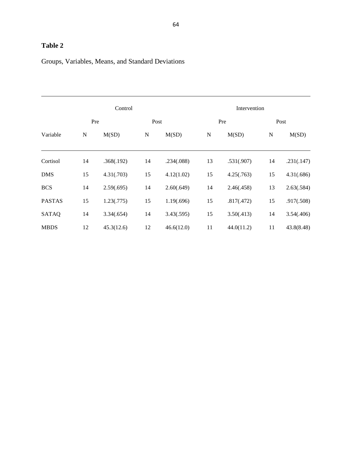## **Table 2**

## Groups, Variables, Means, and Standard Deviations

|               |             | Control    |             |            | Intervention |            |           |            |  |  |
|---------------|-------------|------------|-------------|------------|--------------|------------|-----------|------------|--|--|
| Pre<br>Post   |             |            |             |            | Pre          | Post       |           |            |  |  |
| Variable      | $\mathbf N$ | M(SD)      | $\mathbf N$ | M(SD)      | N            | M(SD)      | ${\bf N}$ | M(SD)      |  |  |
| Cortisol      | 14          | .368(.192) | 14          | .234(.088) | 13           | .531(.907) | 14        | .231(.147) |  |  |
| <b>DMS</b>    | 15          | 4.31(.703) | 15          | 4.12(1.02) | 15           | 4.25(.763) | 15        | 4.31(.686) |  |  |
| <b>BCS</b>    | 14          | 2.59(.695) | 14          | 2.60(.649) | 14           | 2.46(.458) | 13        | 2.63(.584) |  |  |
| <b>PASTAS</b> | 15          | 1.23(.775) | 15          | 1.19(.696) | 15           | .817(.472) | 15        | .917(.508) |  |  |
| <b>SATAQ</b>  | 14          | 3.34(.654) | 14          | 3.43(.595) | 15           | 3.50(.413) | 14        | 3.54(.406) |  |  |
| <b>MBDS</b>   | 12          | 45.3(12.6) | 12          | 46.6(12.0) | 11           | 44.0(11.2) | 11        | 43.8(8.48) |  |  |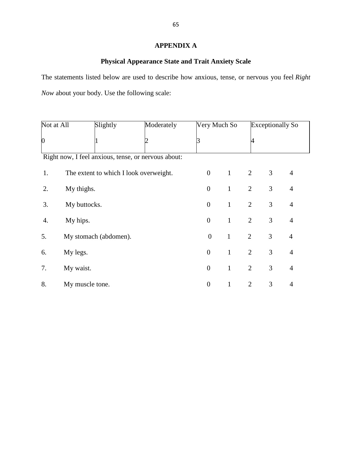### **APPENDIX A**

## **Physical Appearance State and Trait Anxiety Scale**

The statements listed below are used to describe how anxious, tense, or nervous you feel *Right Now* about your body. Use the following scale:

| Not at All                                          |                 | Slightly                               | Moderately | Very Much So     |              |                | <b>Exceptionally So</b> |                |  |  |  |  |
|-----------------------------------------------------|-----------------|----------------------------------------|------------|------------------|--------------|----------------|-------------------------|----------------|--|--|--|--|
| $\overline{0}$                                      |                 |                                        |            |                  |              |                |                         |                |  |  |  |  |
| Right now, I feel anxious, tense, or nervous about: |                 |                                        |            |                  |              |                |                         |                |  |  |  |  |
| 1.                                                  |                 | The extent to which I look overweight. |            | $\theta$         | $\mathbf{1}$ | $\overline{2}$ | 3                       | $\overline{4}$ |  |  |  |  |
| 2.                                                  | My thighs.      |                                        |            | $\boldsymbol{0}$ | $\mathbf{1}$ | $\overline{2}$ | 3                       | $\overline{4}$ |  |  |  |  |
| 3.                                                  | My buttocks.    |                                        |            | $\overline{0}$   | $\mathbf{1}$ | $\overline{2}$ | 3                       | $\overline{4}$ |  |  |  |  |
| 4.                                                  | My hips.        |                                        |            | $\boldsymbol{0}$ | $\mathbf{1}$ | $\overline{2}$ | 3                       | $\overline{4}$ |  |  |  |  |
| 5.                                                  |                 | My stomach (abdomen).                  |            | $\overline{0}$   | $\mathbf{1}$ | $\overline{2}$ | 3                       | $\overline{4}$ |  |  |  |  |
| 6.                                                  | My legs.        |                                        |            | $\boldsymbol{0}$ | $\mathbf{1}$ | $\overline{2}$ | 3                       | $\overline{4}$ |  |  |  |  |
| 7.                                                  | My waist.       |                                        |            | $\boldsymbol{0}$ | $\mathbf{1}$ | $\overline{2}$ | 3                       | $\overline{4}$ |  |  |  |  |
| 8.                                                  | My muscle tone. |                                        |            | $\overline{0}$   | 1            | $\overline{2}$ | 3                       | $\overline{4}$ |  |  |  |  |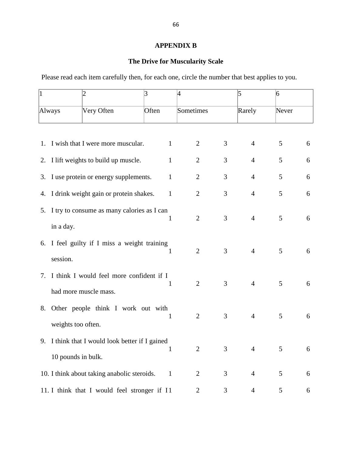## **APPENDIX B**

# **The Drive for Muscularity Scale**

Please read each item carefully then, for each one, circle the number that best applies to you.

| $\overline{1}$       |                    | $\overline{2}$                                  | 3            | $\overline{4}$ |                | 5              | 6 |   |
|----------------------|--------------------|-------------------------------------------------|--------------|----------------|----------------|----------------|---|---|
| Very Often<br>Always |                    | Often                                           | Sometimes    |                | Rarely         | Never          |   |   |
|                      |                    |                                                 |              |                |                |                |   |   |
|                      |                    | 1. I wish that I were more muscular.            | $\mathbf{1}$ | $\overline{2}$ | 3              | $\overline{4}$ | 5 | 6 |
|                      |                    | 2. I lift weights to build up muscle.           | $\mathbf{1}$ | $\overline{2}$ | 3              | $\overline{4}$ | 5 | 6 |
|                      |                    | 3. I use protein or energy supplements.         | $\mathbf{1}$ | $\overline{2}$ | 3              | $\overline{4}$ | 5 | 6 |
|                      |                    | 4. I drink weight gain or protein shakes.       | $\mathbf{1}$ | $\overline{2}$ | 3              | $\overline{4}$ | 5 | 6 |
| 5.                   |                    | I try to consume as many calories as I can      |              |                |                |                |   |   |
|                      | in a day.          |                                                 | 1            | $\overline{2}$ | 3              | $\overline{4}$ | 5 | 6 |
|                      |                    | 6. I feel guilty if I miss a weight training    | 1            | $\overline{2}$ | $\overline{3}$ | $\overline{4}$ | 5 | 6 |
|                      | session.           |                                                 |              |                |                |                |   |   |
|                      |                    | 7. I think I would feel more confident if I     | 1            | $\overline{2}$ | 3              | $\overline{4}$ | 5 | 6 |
|                      |                    | had more muscle mass.                           |              |                |                |                |   |   |
| 8.                   |                    | Other people think I work out with              | 1            | $\overline{2}$ | 3              | $\overline{4}$ | 5 | 6 |
|                      | weights too often. |                                                 |              |                |                |                |   |   |
|                      |                    | 9. I think that I would look better if I gained | $\mathbf{1}$ | $\overline{2}$ | 3              | $\overline{4}$ | 5 | 6 |
|                      | 10 pounds in bulk. |                                                 |              |                |                |                |   |   |
|                      |                    | 10. I think about taking anabolic steroids.     | $\mathbf{1}$ | $\overline{2}$ | 3              | $\overline{4}$ | 5 | 6 |
|                      |                    | 11. I think that I would feel stronger if I1    |              | 2              | 3              | $\overline{4}$ | 5 | 6 |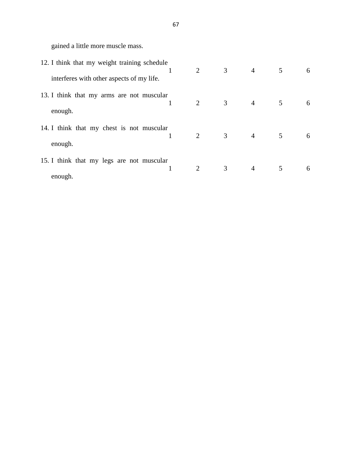gained a little more muscle mass.

| 12. I think that my weight training schedule | $\overline{2}$ | $\mathfrak{Z}$ | $\overline{4}$ | 5 | 6 |
|----------------------------------------------|----------------|----------------|----------------|---|---|
| interferes with other aspects of my life.    |                |                |                |   |   |
| 13. I think that my arms are not muscular    | 2              | $\mathfrak{Z}$ | $\overline{4}$ | 5 | 6 |
| enough.                                      |                |                |                |   |   |
| 14. I think that my chest is not muscular    | 2              | $\mathfrak{Z}$ | $\overline{4}$ | 5 | 6 |
| enough.                                      |                |                |                |   |   |
| 15. I think that my legs are not muscular    | 2              | 3              | $\overline{4}$ | 5 | 6 |
| enough.                                      |                |                |                |   |   |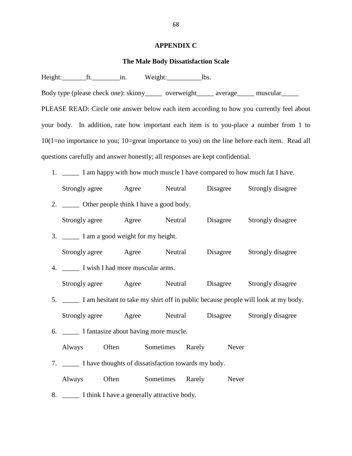#### **APPENDIX C**

#### **The Male Body Dissatisfaction Scale**

Height: ft. the same weight: lbs.

Body type (please check one): skinny\_\_\_\_\_ overweight\_\_\_\_\_ average\_\_\_\_\_ muscular\_\_\_\_\_ PLEASE READ: Circle one answer below each item according to how you currently feel about your body. In addition, rate how important each item is to you-place a number from 1 to 10(1=no importance to you; 10=great importance to you) on the line before each item. Read all questions carefully and answer honestly; all responses are kept confidential.

- 1. I am happy with how much muscle I have compared to how much fat I have.
- Strongly agree Agree Neutral Disagree Strongly disagree 2. \_\_\_\_\_\_\_\_ Other people think I have a good body.
- Strongly agree Agree Neutral Disagree Strongly disagree
- 3. \_\_\_\_\_ I am a good weight for my height. Strongly agree Agree Neutral Disagree Strongly disagree
- 4. \_\_\_\_\_ I wish I had more muscular arms. Strongly agree Agree Neutral Disagree Strongly disagree
- 5. \_\_\_\_\_ I am hesitant to take my shirt off in public because people will look at my body. Strongly agree Agree Neutral Disagree Strongly disagree
- 6. \_\_\_\_\_ I fantasize about having more muscle.
	- Always Often Sometimes Rarely Never
- 7. \_\_\_\_\_ I have thoughts of dissatisfaction towards my body.
- Always Often Sometimes Rarely Never
- 8. \_\_\_\_\_\_\_\_ I think I have a generally attractive body.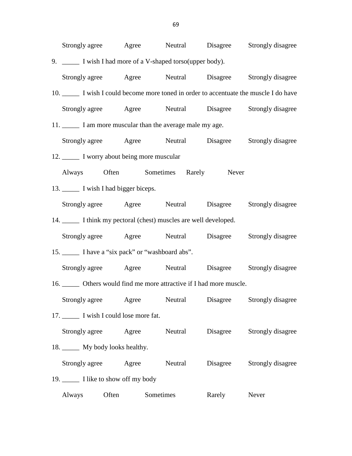| Strongly agree Agree Neutral Disagree Strongly disagree                          |       |           |          |                                    |
|----------------------------------------------------------------------------------|-------|-----------|----------|------------------------------------|
| 9. ______ I wish I had more of a V-shaped torso(upper body).                     |       |           |          |                                    |
| Strongly agree Agree Neutral Disagree Strongly disagree                          |       |           |          |                                    |
| 10. I wish I could become more toned in order to accentuate the muscle I do have |       |           |          |                                    |
| Strongly agree Agree Neutral Disagree Strongly disagree                          |       |           |          |                                    |
| 11. I am more muscular than the average male my age.                             |       |           |          |                                    |
| Strongly agree Agree Neutral Disagree Strongly disagree                          |       |           |          |                                    |
| 12. I worry about being more muscular                                            |       |           |          |                                    |
| Always Often Sometimes Rarely Never                                              |       |           |          |                                    |
| 13. I wish I had bigger biceps.                                                  |       |           |          |                                    |
| Strongly agree Agree Neutral Disagree Strongly disagree                          |       |           |          |                                    |
| 14. I think my pectoral (chest) muscles are well developed.                      |       |           |          |                                    |
| Strongly agree Agree Neutral Disagree Strongly disagree                          |       |           |          |                                    |
| 15. I have a "six pack" or "washboard abs".                                      |       |           |          |                                    |
| Strongly agree Agree Neutral Disagree Strongly disagree                          |       |           |          |                                    |
| 16. _______ Others would find me more attractive if I had more muscle.           |       |           |          |                                    |
| Strongly agree Agree                                                             |       |           |          | Neutral Disagree Strongly disagree |
| 17. I wish I could lose more fat.                                                |       |           |          |                                    |
| Strongly agree Agree                                                             |       | Neutral   |          | Disagree Strongly disagree         |
| 18. _______ My body looks healthy.                                               |       |           |          |                                    |
| Strongly agree Agree                                                             |       | Neutral   | Disagree | Strongly disagree                  |
| 19. I like to show off my body                                                   |       |           |          |                                    |
| Always                                                                           | Often | Sometimes | Rarely   | Never                              |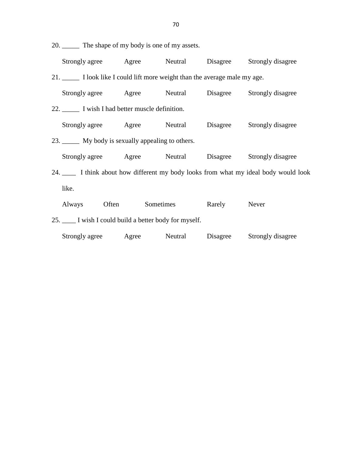20. \_\_\_\_\_ The shape of my body is one of my assets.

Strongly agree Agree Neutral Disagree Strongly disagree

21. \_\_\_\_\_ I look like I could lift more weight than the average male my age.

| Strongly agree Agree Neutral Disagree Strongly disagree |           |        |                                                                                  |
|---------------------------------------------------------|-----------|--------|----------------------------------------------------------------------------------|
| 22. I wish I had better muscle definition.              |           |        |                                                                                  |
| Strongly agree Agree Neutral Disagree Strongly disagree |           |        |                                                                                  |
| 23. My body is sexually appealing to others.            |           |        |                                                                                  |
| Strongly agree Agree Neutral Disagree Strongly disagree |           |        |                                                                                  |
|                                                         |           |        | 24. I think about how different my body looks from what my ideal body would look |
| like.                                                   |           |        |                                                                                  |
| Always Often                                            | Sometimes | Rarely | Never                                                                            |
| 25. I wish I could build a better body for myself.      |           |        |                                                                                  |
|                                                         |           |        |                                                                                  |

Strongly agree Agree Neutral Disagree Strongly disagree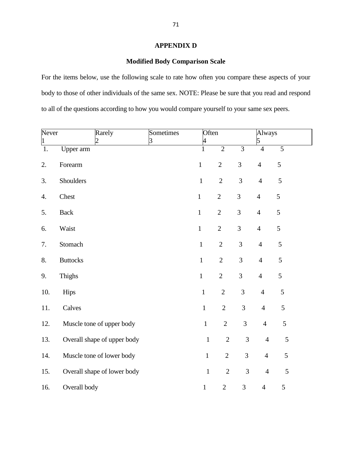## **APPENDIX D**

# **Modified Body Comparison Scale**

For the items below, use the following scale to rate how often you compare these aspects of your body to those of other individuals of the same sex. NOTE: Please be sure that you read and respond to all of the questions according to how you would compare yourself to your same sex peers.

| Never<br>$\vert$ 1 |                 | Rarely<br>2                 | Sometimes<br>3 | Often<br>4   |                |                | Always<br>5    |                |  |
|--------------------|-----------------|-----------------------------|----------------|--------------|----------------|----------------|----------------|----------------|--|
| 1.                 | Upper arm       |                             |                | $\mathbf{1}$ | $\overline{2}$ | $\overline{3}$ | $\overline{4}$ | 5              |  |
| 2.                 | Forearm         |                             |                | $\mathbf{1}$ | $\overline{2}$ | 3              | $\overline{4}$ | 5              |  |
| 3.                 | Shoulders       |                             |                | $\mathbf 1$  | $\overline{2}$ | 3              | $\overline{4}$ | $\sqrt{5}$     |  |
| 4.                 | Chest           |                             |                | $\mathbf{1}$ | $\overline{2}$ | 3              | $\overline{4}$ | 5              |  |
| 5.                 | <b>Back</b>     |                             |                | $\mathbf{1}$ | $\overline{2}$ | 3              | $\overline{4}$ | 5              |  |
| 6.                 | Waist           |                             |                | $\mathbf 1$  | $\overline{2}$ | 3              | $\overline{4}$ | 5              |  |
| 7.                 | Stomach         |                             |                | $\mathbf 1$  | $\overline{2}$ | 3              | $\overline{4}$ | $\sqrt{5}$     |  |
| 8.                 | <b>Buttocks</b> |                             |                | $\,1\,$      | $\mathbf{2}$   | 3              | $\overline{4}$ | 5              |  |
| 9.                 | Thighs          |                             |                | $\mathbf{1}$ | $\overline{2}$ | 3              | $\overline{4}$ | $\mathfrak{S}$ |  |
| 10.                | Hips            |                             |                | $\mathbf 1$  | $\overline{2}$ | 3              | $\overline{4}$ | 5              |  |
| 11.                | Calves          |                             |                | $\mathbf{1}$ | $\overline{2}$ | $\mathfrak{Z}$ | $\overline{4}$ | 5              |  |
| 12.                |                 | Muscle tone of upper body   |                | $\mathbf 1$  | $\mathbf{2}$   | $\mathfrak{Z}$ | $\overline{4}$ | 5              |  |
| 13.                |                 | Overall shape of upper body |                | $\,1\,$      | $\sqrt{2}$     | 3              | $\overline{4}$ | $\mathfrak{S}$ |  |
| 14.                |                 | Muscle tone of lower body   |                | $\mathbf{1}$ | $\overline{2}$ | 3              | $\overline{4}$ | 5              |  |
| 15.                |                 | Overall shape of lower body |                | $\mathbf{1}$ | $\overline{2}$ | 3              | $\overline{4}$ | $\mathfrak{S}$ |  |
| 16.                | Overall body    |                             |                | $\mathbf{1}$ | $\sqrt{2}$     | $\mathfrak{Z}$ | $\overline{4}$ | 5              |  |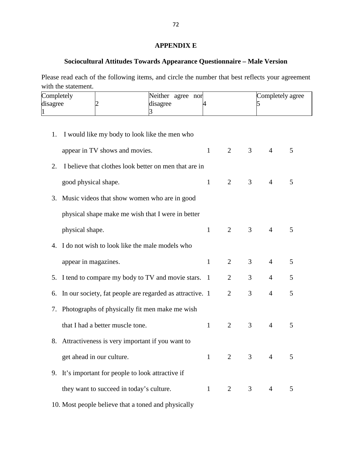# **APPENDIX E**

# **Sociocultural Attitudes Towards Appearance Questionnaire – Male Version**

Please read each of the following items, and circle the number that best reflects your agreement with the statement.

| Completely<br>disagree<br>1 | 3                                                        | Neither agree nor<br>disagree | 4            |                | 5              |                | Completely agree |
|-----------------------------|----------------------------------------------------------|-------------------------------|--------------|----------------|----------------|----------------|------------------|
| 1.                          | I would like my body to look like the men who            |                               |              |                |                |                |                  |
|                             | appear in TV shows and movies.                           |                               | $\mathbf{1}$ | 2              | 3              | $\overline{4}$ | 5                |
| 2.                          | I believe that clothes look better on men that are in    |                               |              |                |                |                |                  |
|                             | good physical shape.                                     |                               | $\mathbf{1}$ | $\overline{2}$ | 3              | $\overline{4}$ | 5                |
| 3.                          | Music videos that show women who are in good             |                               |              |                |                |                |                  |
|                             | physical shape make me wish that I were in better        |                               |              |                |                |                |                  |
|                             | physical shape.                                          |                               | $\mathbf{1}$ | $\overline{2}$ | 3              | $\overline{4}$ | 5                |
|                             | 4. I do not wish to look like the male models who        |                               |              |                |                |                |                  |
|                             | appear in magazines.                                     |                               | $\mathbf{1}$ | $\overline{2}$ | 3              | $\overline{4}$ | 5                |
| 5.                          | I tend to compare my body to TV and movie stars. 1       |                               |              | $\overline{2}$ | 3              | $\overline{4}$ | 5                |
| 6.                          | In our society, fat people are regarded as attractive. 1 |                               |              | $\overline{2}$ | 3              | $\overline{4}$ | 5                |
| 7.                          | Photographs of physically fit men make me wish           |                               |              |                |                |                |                  |
|                             | that I had a better muscle tone.                         |                               | $\mathbf{1}$ | $\overline{2}$ | 3              | $\overline{4}$ | 5                |
|                             | 8. Attractiveness is very important if you want to       |                               |              |                |                |                |                  |
|                             | get ahead in our culture.                                |                               | $\mathbf{1}$ | 2              | $\mathfrak{Z}$ | $\overline{4}$ | 5                |
|                             | 9. It's important for people to look attractive if       |                               |              |                |                |                |                  |
|                             | they want to succeed in today's culture.                 |                               | $\mathbf{1}$ | $\overline{2}$ | 3              | $\overline{4}$ | 5                |

10. Most people believe that a toned and physically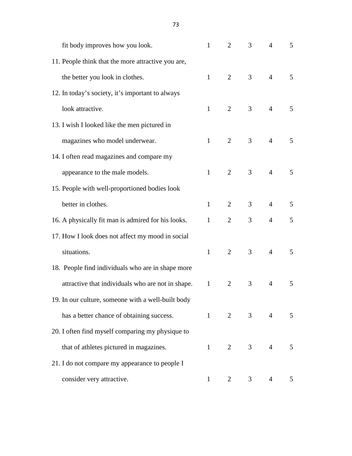| fit body improves how you look.                    | $\mathbf{1}$   | $\overline{2}$ | $\overline{3}$ | $\overline{4}$ | 5 |
|----------------------------------------------------|----------------|----------------|----------------|----------------|---|
| 11. People think that the more attractive you are, |                |                |                |                |   |
| the better you look in clothes.                    | $\mathbf{1}$   | 2              | 3              | $\overline{4}$ | 5 |
| 12. In today's society, it's important to always   |                |                |                |                |   |
| look attractive.                                   | $\mathbf{1}$   | 2              | $\overline{3}$ | $\overline{4}$ | 5 |
| 13. I wish I looked like the men pictured in       |                |                |                |                |   |
| magazines who model underwear.                     | $\mathbf{1}$   | 2              | 3              | $\overline{4}$ | 5 |
| 14. I often read magazines and compare my          |                |                |                |                |   |
| appearance to the male models.                     | $\mathbf{1}$   | $\overline{2}$ | $\overline{3}$ | $\overline{4}$ | 5 |
| 15. People with well-proportioned bodies look      |                |                |                |                |   |
| better in clothes.                                 | $\mathbf{1}$   | 2              | $\overline{3}$ | $\overline{4}$ | 5 |
| 16. A physically fit man is admired for his looks. | $\mathbf{1}$   | 2              | 3              | $\overline{4}$ | 5 |
| 17. How I look does not affect my mood in social   |                |                |                |                |   |
| situations.                                        | $\mathbf{1}$   | 2              | 3              | $\overline{4}$ | 5 |
| 18. People find individuals who are in shape more  |                |                |                |                |   |
| attractive that individuals who are not in shape.  | $\mathbf{1}$   | 2              | 3              | $\overline{4}$ | 5 |
| 19. In our culture, someone with a well-built body |                |                |                |                |   |
| has a better chance of obtaining success.          | $1 \quad \Box$ | $\overline{2}$ | 3 <sup>7</sup> | $\overline{4}$ | 5 |
| 20. I often find myself comparing my physique to   |                |                |                |                |   |
| that of athletes pictured in magazines.            | $\mathbf{1}$   | 2              | 3 <sup>7</sup> | $\overline{4}$ | 5 |
| 21. I do not compare my appearance to people I     |                |                |                |                |   |
| consider very attractive.                          | 1              | 2              | 3              | $\overline{4}$ | 5 |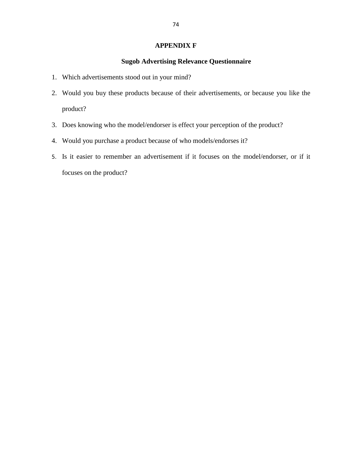## **APPENDIX F**

# **Sugob Advertising Relevance Questionnaire**

- 1. Which advertisements stood out in your mind?
- 2. Would you buy these products because of their advertisements, or because you like the product?
- 3. Does knowing who the model/endorser is effect your perception of the product?
- 4. Would you purchase a product because of who models/endorses it?
- 5. Is it easier to remember an advertisement if it focuses on the model/endorser, or if it focuses on the product?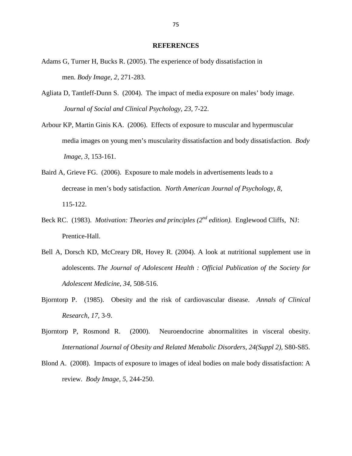#### **REFERENCES**

- Adams G, Turner H, Bucks R. (2005). The experience of body dissatisfaction in men. *Body Image*, *2*, 271-283.
- Agliata D, Tantleff-Dunn S. (2004). The impact of media exposure on males' body image. *Journal of Social and Clinical Psychology, 23,* 7-22.
- Arbour KP, Martin Ginis KA. (2006). Effects of exposure to muscular and hypermuscular media images on young men's muscularity dissatisfaction and body dissatisfaction. *Body Image, 3,* 153-161.
- Baird A, Grieve FG. (2006). Exposure to male models in advertisements leads to a decrease in men's body satisfaction. *North American Journal of Psychology*, *8,*  115-122.
- Beck RC. (1983). *Motivation: Theories and principles (2nd edition).* Englewood Cliffs, NJ: Prentice-Hall.
- Bell A, Dorsch KD, McCreary DR, Hovey R. (2004). A look at nutritional supplement use in adolescents. *The Journal of Adolescent Health : Official Publication of the Society for Adolescent Medicine*, *34*, 508-516.
- Bjorntorp P. (1985). Obesity and the risk of cardiovascular disease. *Annals of Clinical Research, 17,* 3-9.
- Bjorntorp P, Rosmond R. (2000). Neuroendocrine abnormalitites in visceral obesity. *International Journal of Obesity and Related Metabolic Disorders, 24(Suppl 2),* S80-S85.
- Blond A. (2008). Impacts of exposure to images of ideal bodies on male body dissatisfaction: A review. *Body Image, 5,* 244-250.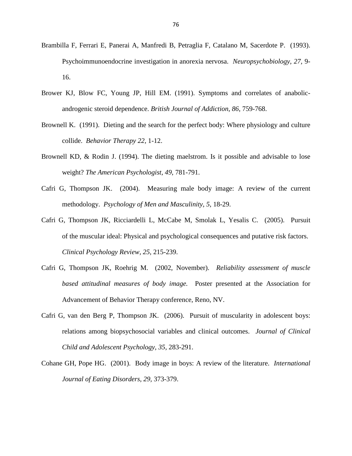- Brambilla F, Ferrari E, Panerai A, Manfredi B, Petraglia F, Catalano M, Sacerdote P. (1993). Psychoimmunoendocrine investigation in anorexia nervosa. *Neuropsychobiology, 27,* 9- 16.
- Brower KJ, Blow FC, Young JP, Hill EM. (1991). Symptoms and correlates of anabolic androgenic steroid dependence. *British Journal of Addiction*, *86*, 759-768.
- Brownell K. (1991). Dieting and the search for the perfect body: Where physiology and culture collide. *Behavior Therapy 22,* 1-12.
- Brownell KD, & Rodin J. (1994). The dieting maelstrom. Is it possible and advisable to lose weight? *The American Psychologist*, *49*, 781-791.
- Cafri G, Thompson JK. (2004). Measuring male body image: A review of the current methodology. *Psychology of Men and Masculinity, 5,* 18-29.
- Cafri G, Thompson JK, Ricciardelli L, McCabe M, Smolak L, Yesalis C. (2005). Pursuit of the muscular ideal: Physical and psychological consequences and putative risk factors. *Clinical Psychology Review, 25,* 215-239.
- Cafri G, Thompson JK, Roehrig M. (2002, November). *Reliability assessment of muscle based attitudinal measures of body image.* Poster presented at the Association for Advancement of Behavior Therapy conference, Reno, NV.
- Cafri G, van den Berg P, Thompson JK. (2006). Pursuit of muscularity in adolescent boys: relations among biopsychosocial variables and clinical outcomes. *Journal of Clinical Child and Adolescent Psychology, 35,* 283-291.
- Cohane GH, Pope HG. (2001). Body image in boys: A review of the literature. *International Journal of Eating Disorders, 29,* 373-379.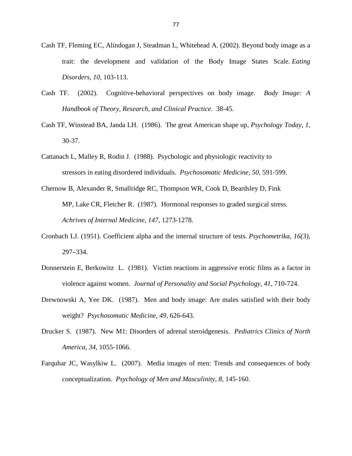- Cash TF, Fleming EC, Alindogan J, Steadman L, Whitehead A. (2002). Beyond body image as a trait: the development and validation of the Body Image States Scale. *Eating Disorders*, *10*, 103-113.
- Cash TF. (2002). Cognitive-behavioral perspectives on body image. *Body Image: A Handbook of Theory, Research, and Clinical Practice.* 38-45.
- Cash TF, Winstead BA, Janda LH. (1986). The great American shape up, *Psychology Today, 1,*  30-37.
- Cattanach L, Malley R, Rodin J. (1988). Psychologic and physiologic reactivity to stressors in eating disordered individuals. *Psychosomatic Medicine, 50,* 591-599.
- Chernow B, Alexander R, Smallridge RC, Thompson WR, Cook D, Beardsley D, Fink MP, Lake CR, Fletcher R. (1987). Hormonal responses to graded surgical stress. *Achrives of Internal Medicine, 147,* 1273-1278.
- Cronbach LJ. (1951). Coefficient alpha and the internal structure of tests. *Psychometrika, 16(3)*, 297–334.
- Donnerstein E, Berkowitz L. (1981). Victim reactions in aggressive erotic films as a factor in violence against women. *Journal of Personality and Social Psychology, 41,* 710-724.
- Drewnowski A, Yee DK. (1987). Men and body image: Are males satisfied with their body weight? *Psychosomatic Medicine, 49,* 626-643.
- Drucker S. (1987). New M1: Disorders of adrenal steroidgenesis. *Pediatrics Clinics of North America, 34,* 1055-1066.
- Farquhar JC, Wasylkiw L. (2007). Media images of men: Trends and consequences of body conceptualization. *Psychology of Men and Masculinity, 8,* 145-160.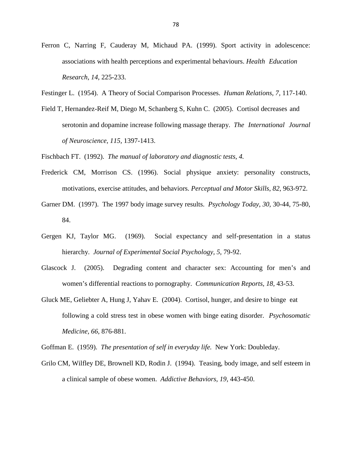- Ferron C, Narring F, Cauderay M, Michaud PA. (1999). Sport activity in adolescence: associations with health perceptions and experimental behaviours. *Health Education Research*, *14*, 225-233.
- Festinger L. (1954). A Theory of Social Comparison Processes. *Human Relations, 7,* 117-140.
- Field T, Hernandez-Reif M, Diego M, Schanberg S, Kuhn C. (2005). Cortisol decreases and serotonin and dopamine increase following massage therapy. *The International Journal of Neuroscience, 115,* 1397-1413.

Fischbach FT. (1992). *The manual of laboratory and diagnostic tests, 4.* 

- Frederick CM, Morrison CS. (1996). Social physique anxiety: personality constructs, motivations, exercise attitudes, and behaviors. *Perceptual and Motor Skills*, *82*, 963-972.
- Garner DM. (1997). The 1997 body image survey results. *Psychology Today, 30,* 30-44, 75-80, 84.
- Gergen KJ, Taylor MG. (1969). Social expectancy and self-presentation in a status hierarchy. *Journal of Experimental Social Psychology, 5,* 79-92.
- Glascock J. (2005). Degrading content and character sex: Accounting for men's and women's differential reactions to pornography. *Communication Reports, 18,* 43-53.
- Gluck ME, Geliebter A, Hung J, Yahav E. (2004). Cortisol, hunger, and desire to binge eat following a cold stress test in obese women with binge eating disorder. *Psychosomatic Medicine, 66,* 876-881.

Goffman E. (1959). *The presentation of self in everyday life.* New York: Doubleday.

Grilo CM, Wilfley DE, Brownell KD, Rodin J. (1994). Teasing, body image, and self esteem in a clinical sample of obese women. *Addictive Behaviors, 19,* 443-450.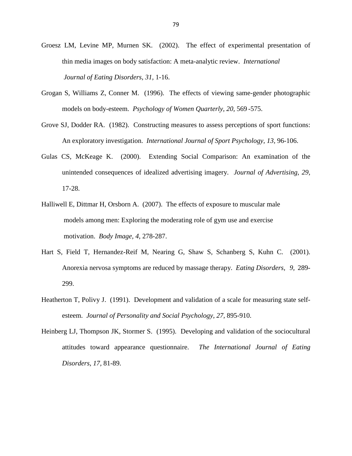- Groesz LM, Levine MP, Murnen SK. (2002). The effect of experimental presentation of thin media images on body satisfaction: A meta-analytic review. *International Journal of Eating Disorders, 31,* 1-16.
- Grogan S, Williams Z, Conner M. (1996). The effects of viewing same-gender photographic models on body-esteem. *Psychology of Women Quarterly, 20,* 569 -575.
- Grove SJ, Dodder RA. (1982). Constructing measures to assess perceptions of sport functions: An exploratory investigation. *International Journal of Sport Psychology, 13,* 96-106.
- Gulas CS, McKeage K. (2000). Extending Social Comparison: An examination of the unintended consequences of idealized advertising imagery. *Journal of Advertising, 29,*  17-28.
- Halliwell E, Dittmar H, Orsborn A. (2007). The effects of exposure to muscular male models among men: Exploring the moderating role of gym use and exercise motivation. *Body Image, 4,* 278-287.
- Hart S, Field T, Hernandez-Reif M, Nearing G, Shaw S, Schanberg S, Kuhn C. (2001). Anorexia nervosa symptoms are reduced by massage therapy. *Eating Disorders, 9,* 289- 299.
- Heatherton T, Polivy J. (1991). Development and validation of a scale for measuring state selfesteem. *Journal of Personality and Social Psychology, 27,* 895-910.
- Heinberg LJ, Thompson JK, Stormer S. (1995). Developing and validation of the sociocultural attitudes toward appearance questionnaire. *The International Journal of Eating Disorders, 17,* 81-89.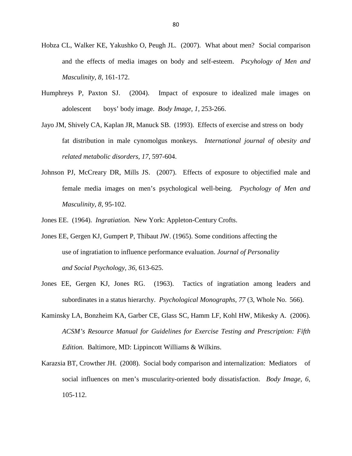- Hobza CL, Walker KE, Yakushko O, Peugh JL. (2007). What about men? Social comparison and the effects of media images on body and self-esteem. *Pscyhology of Men and Masculinity*, *8,* 161-172.
- Humphreys P, Paxton SJ. (2004). Impact of exposure to idealized male images on adolescent boys' body image. *Body Image, 1,* 253-266.
- Jayo JM, Shively CA, Kaplan JR, Manuck SB. (1993). Effects of exercise and stress on body fat distribution in male cynomolgus monkeys. *International journal of obesity and related metabolic disorders, 17,* 597-604.
- Johnson PJ, McCreary DR, Mills JS. (2007). Effects of exposure to objectified male and female media images on men's psychological well-being. *Psychology of Men and Masculinity, 8,* 95-102.
- Jones EE. (1964). *Ingratiation.* New York: Appleton-Century Crofts.
- Jones EE, Gergen KJ, Gumpert P, Thibaut JW. (1965). Some conditions affecting the use of ingratiation to influence performance evaluation. *Journal of Personality and Social Psychology*, *36*, 613-625.
- Jones EE, Gergen KJ, Jones RG. (1963). Tactics of ingratiation among leaders and subordinates in a status hierarchy. *Psychological Monographs, 77* (3, Whole No. 566).
- Kaminsky LA, Bonzheim KA, Garber CE, Glass SC, Hamm LF, Kohl HW, Mikesky A. (2006). *ACSM's Resource Manual for Guidelines for Exercise Testing and Prescription: Fifth Edition.* Baltimore, MD: Lippincott Williams & Wilkins.
- Karazsia BT, Crowther JH. (2008). Social body comparison and internalization: Mediators of social influences on men's muscularity-oriented body dissatisfaction. *Body Image, 6,*  105-112.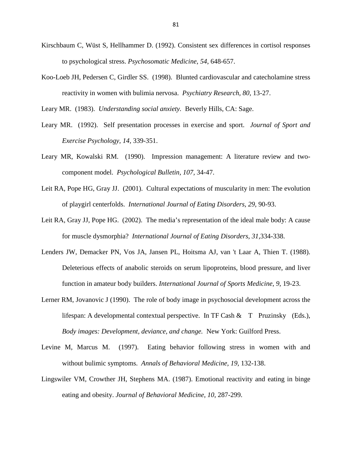- Kirschbaum C, Wüst S, Hellhammer D. (1992). Consistent sex differences in cortisol responses to psychological stress. *Psychosomatic Medicine*, *54*, 648-657.
- Koo-Loeb JH, Pedersen C, Girdler SS. (1998). Blunted cardiovascular and catecholamine stress reactivity in women with bulimia nervosa. *Psychiatry Research, 80,* 13-27.

Leary MR. (1983). *Understanding social anxiety.* Beverly Hills, CA: Sage.

- Leary MR. (1992). Self presentation processes in exercise and sport. *Journal of Sport and Exercise Psychology, 14,* 339-351.
- Leary MR, Kowalski RM. (1990). Impression management: A literature review and two component model. *Psychological Bulletin, 107,* 34-47.
- Leit RA, Pope HG, Gray JJ. (2001). Cultural expectations of muscularity in men: The evolution of playgirl centerfolds. *International Journal of Eating Disorders, 29,* 90-93.
- Leit RA, Gray JJ, Pope HG. (2002). The media's representation of the ideal male body: A cause for muscle dysmorphia? *International Journal of Eating Disorders, 31,*334-338.
- Lenders JW, Demacker PN, Vos JA, Jansen PL, Hoitsma AJ, van 't Laar A, Thien T. (1988). Deleterious effects of anabolic steroids on serum lipoproteins, blood pressure, and liver function in amateur body builders. *International Journal of Sports Medicine*, *9*, 19-23.
- Lerner RM, Jovanovic J (1990). The role of body image in psychosocial development across the lifespan: A developmental contextual perspective. In TF Cash & T Pruzinsky (Eds.), *Body images: Development, deviance, and change.* New York: Guilford Press.
- Levine M, Marcus M. (1997). Eating behavior following stress in women with and without bulimic symptoms. *Annals of Behavioral Medicine, 19,* 132-138.
- Lingswiler VM, Crowther JH, Stephens MA. (1987). Emotional reactivity and eating in binge eating and obesity. *Journal of Behavioral Medicine*, *10*, 287-299.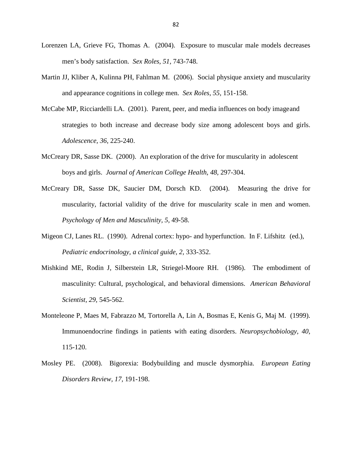- Lorenzen LA, Grieve FG, Thomas A. (2004). Exposure to muscular male models decreases men's body satisfaction. *Sex Roles, 51,* 743-748.
- Martin JJ, Kliber A, Kulinna PH, Fahlman M. (2006). Social physique anxiety and muscularity and appearance cognitions in college men. *Sex Roles, 55,* 151-158.
- McCabe MP, Ricciardelli LA. (2001). Parent, peer, and media influences on body image and strategies to both increase and decrease body size among adolescent boys and girls. *Adolescence, 36,* 225-240.
- McCreary DR, Sasse DK. (2000). An exploration of the drive for muscularity in adolescent boys and girls. *Journal of American College Health, 48,* 297-304.
- McCreary DR, Sasse DK, Saucier DM, Dorsch KD. (2004). Measuring the drive for muscularity, factorial validity of the drive for muscularity scale in men and women. *Psychology of Men and Masculinity, 5,* 49-58.
- Migeon CJ, Lanes RL. (1990). Adrenal cortex: hypo- and hyperfunction. In F. Lifshitz (ed.), *Pediatric endocrinology, a clinical guide, 2,* 333-352.
- Mishkind ME, Rodin J, Silberstein LR, Striegel-Moore RH. (1986). The embodiment of masculinity: Cultural, psychological, and behavioral dimensions. *American Behavioral Scientist, 29,* 545-562.
- Monteleone P, Maes M, Fabrazzo M, Tortorella A, Lin A, Bosmas E, Kenis G, Maj M. (1999). Immunoendocrine findings in patients with eating disorders. *Neuropsychobiology, 40,*  115-120.
- Mosley PE. (2008). Bigorexia: Bodybuilding and muscle dysmorphia. *European Eating Disorders Review, 17,* 191-198.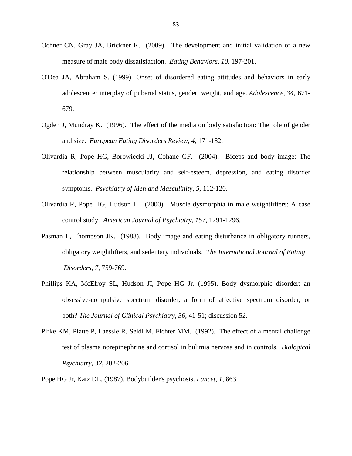- Ochner CN, Gray JA, Brickner K. (2009). The development and initial validation of a new measure of male body dissatisfaction. *Eating Behaviors, 10,* 197-201.
- O'Dea JA, Abraham S. (1999). Onset of disordered eating attitudes and behaviors in early adolescence: interplay of pubertal status, gender, weight, and age. *Adolescence*, *34*, 671- 679.
- Ogden J, Mundray K. (1996). The effect of the media on body satisfaction: The role of gender and size. *European Eating Disorders Review, 4,* 171-182.
- Olivardia R, Pope HG, Borowiecki JJ, Cohane GF. (2004). Biceps and body image: The relationship between muscularity and self-esteem, depression, and eating disorder symptoms. *Psychiatry of Men and Masculinity, 5,* 112-120.
- Olivardia R, Pope HG, Hudson JI. (2000). Muscle dysmorphia in male weightlifters: A case control study. *American Journal of Psychiatry, 157,* 1291-1296.
- Pasman L, Thompson JK. (1988). Body image and eating disturbance in obligatory runners, obligatory weightlifters, and sedentary individuals. *The International Journal of Eating Disorders, 7,* 759-769.
- Phillips KA, McElroy SL, Hudson JI, Pope HG Jr. (1995). Body dysmorphic disorder: an obsessive-compulsive spectrum disorder, a form of affective spectrum disorder, or both? *The Journal of Clinical Psychiatry*, *56*, 41-51; discussion 52.
- Pirke KM, Platte P, Laessle R, Seidl M, Fichter MM. (1992). The effect of a mental challenge test of plasma norepinephrine and cortisol in bulimia nervosa and in controls. *Biological Psychiatry, 32*, 202-206
- Pope HG Jr, Katz DL. (1987). Bodybuilder's psychosis. *Lancet*, *1*, 863.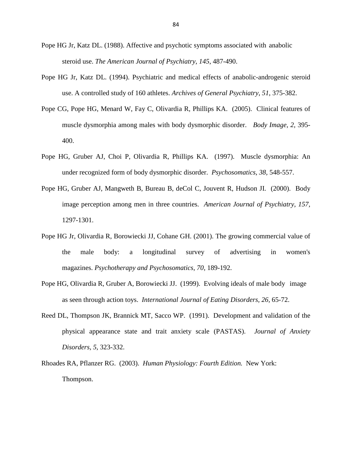- Pope HG Jr, Katz DL. (1988). Affective and psychotic symptoms associated with anabolic steroid use. *The American Journal of Psychiatry*, *145*, 487-490.
- Pope HG Jr, Katz DL. (1994). Psychiatric and medical effects of anabolic-androgenic steroid use. A controlled study of 160 athletes. *Archives of General Psychiatry*, *51*, 375-382.
- Pope CG, Pope HG, Menard W, Fay C, Olivardia R, Phillips KA. (2005). Clinical features of muscle dysmorphia among males with body dysmorphic disorder. *Body Image, 2,* 395- 400.
- Pope HG, Gruber AJ, Choi P, Olivardia R, Phillips KA. (1997). Muscle dysmorphia: An under recognized form of body dysmorphic disorder. *Psychosomatics, 38,* 548-557.
- Pope HG, Gruber AJ, Mangweth B, Bureau B, deCol C, Jouvent R, Hudson JI. (2000). Body image perception among men in three countries. *American Journal of Psychiatry, 157,*  1297-1301.
- Pope HG Jr, Olivardia R, Borowiecki JJ, Cohane GH. (2001). The growing commercial value of the male body: a longitudinal survey of advertising in women's magazines. *Psychotherapy and Psychosomatics*, *70*, 189-192.
- Pope HG, Olivardia R, Gruber A, Borowiecki JJ. (1999). Evolving ideals of male body image as seen through action toys. *International Journal of Eating Disorders, 26,* 65-72.
- Reed DL, Thompson JK, Brannick MT, Sacco WP. (1991). Development and validation of the physical appearance state and trait anxiety scale (PASTAS). *Journal of Anxiety Disorders, 5,* 323-332.
- Rhoades RA, Pflanzer RG. (2003). *Human Physiology: Fourth Edition.* New York: Thompson.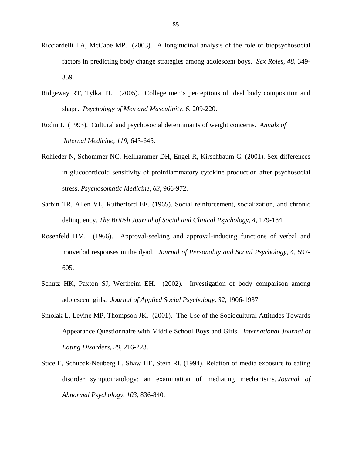- Ricciardelli LA, McCabe MP. (2003). A longitudinal analysis of the role of biopsychosocial factors in predicting body change strategies among adolescent boys. *Sex Roles, 48,* 349- 359.
- Ridgeway RT, Tylka TL. (2005). College men's perceptions of ideal body composition and shape. *Psychology of Men and Masculinity, 6,* 209-220.
- Rodin J. (1993). Cultural and psychosocial determinants of weight concerns. *Annals of Internal Medicine, 119,* 643-645.
- Rohleder N, Schommer NC, Hellhammer DH, Engel R, Kirschbaum C. (2001). Sex differences in glucocorticoid sensitivity of proinflammatory cytokine production after psychosocial stress. *Psychosomatic Medicine*, *63*, 966-972.
- Sarbin TR, Allen VL, Rutherford EE. (1965). Social reinforcement, socialization, and chronic delinquency. *The British Journal of Social and Clinical Psychology*, *4*, 179-184.
- Rosenfeld HM. (1966). Approval-seeking and approval-inducing functions of verbal and nonverbal responses in the dyad. *Journal of Personality and Social Psychology, 4,* 597- 605.
- Schutz HK, Paxton SJ, Wertheim EH. (2002). Investigation of body comparison among adolescent girls. *Journal of Applied Social Psychology, 32,* 1906-1937.
- Smolak L, Levine MP, Thompson JK. (2001). The Use of the Sociocultural Attitudes Towards Appearance Questionnaire with Middle School Boys and Girls. *International Journal of Eating Disorders, 29,* 216-223.
- Stice E, Schupak-Neuberg E, Shaw HE, Stein RI. (1994). Relation of media exposure to eating disorder symptomatology: an examination of mediating mechanisms. *Journal of Abnormal Psychology*, *103*, 836-840.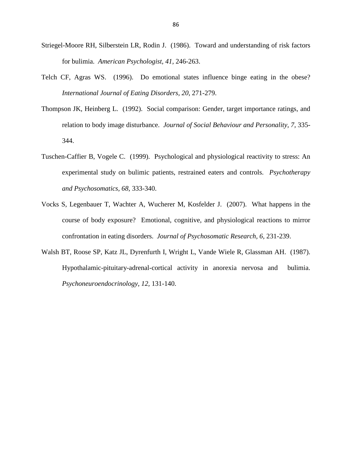- Striegel-Moore RH, Silberstein LR, Rodin J. (1986). Toward and understanding of risk factors for bulimia. *American Psychologist, 41,* 246-263.
- Telch CF, Agras WS. (1996). Do emotional states influence binge eating in the obese? *International Journal of Eating Disorders, 20,* 271-279.
- Thompson JK, Heinberg L. (1992). Social comparison: Gender, target importance ratings, and relation to body image disturbance. *Journal of Social Behaviour and Personality, 7,* 335- 344.
- Tuschen-Caffier B, Vogele C. (1999). Psychological and physiological reactivity to stress: An experimental study on bulimic patients, restrained eaters and controls. *Psychotherapy and Psychosomatics, 68,* 333-340.
- Vocks S, Legenbauer T, Wachter A, Wucherer M, Kosfelder J. (2007). What happens in the course of body exposure? Emotional, cognitive, and physiological reactions to mirror confrontation in eating disorders. *Journal of Psychosomatic Research, 6,* 231-239.
- Walsh BT, Roose SP, Katz JL, Dyrenfurth I, Wright L, Vande Wiele R, Glassman AH. (1987). Hypothalamic-pituitary-adrenal-cortical activity in anorexia nervosa and bulimia. *Psychoneuroendocrinology, 12,* 131-140.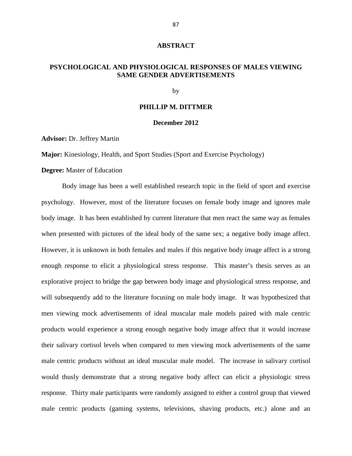#### **ABSTRACT**

### **PSYCHOLOGICAL AND PHYSIOLOGICAL RESPONSES OF MALES VIEWING SAME GENDER ADVERTISEMENTS**

by

#### **PHILLIP M. DITTMER**

#### **December 2012**

**Advisor:** Dr. Jeffrey Martin

**Major:** Kinesiology, Health, and Sport Studies (Sport and Exercise Psychology)

#### **Degree:** Master of Education

 Body image has been a well established research topic in the field of sport and exercise psychology. However, most of the literature focuses on female body image and ignores male body image. It has been established by current literature that men react the same way as females when presented with pictures of the ideal body of the same sex; a negative body image affect. However, it is unknown in both females and males if this negative body image affect is a strong enough response to elicit a physiological stress response. This master's thesis serves as an explorative project to bridge the gap between body image and physiological stress response, and will subsequently add to the literature focusing on male body image. It was hypothesized that men viewing mock advertisements of ideal muscular male models paired with male centric products would experience a strong enough negative body image affect that it would increase their salivary cortisol levels when compared to men viewing mock advertisements of the same male centric products without an ideal muscular male model. The increase in salivary cortisol would thusly demonstrate that a strong negative body affect can elicit a physiologic stress response. Thirty male participants were randomly assigned to either a control group that viewed male centric products (gaming systems, televisions, shaving products, etc.) alone and an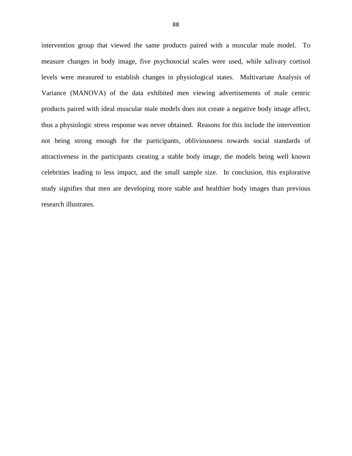intervention group that viewed the same products paired with a muscular male model. To measure changes in body image, five psychosocial scales were used, while salivary cortisol levels were measured to establish changes in physiological states. Multivariate Analysis of Variance (MANOVA) of the data exhibited men viewing advertisements of male centric products paired with ideal muscular male models does not create a negative body image affect, thus a physiologic stress response was never obtained. Reasons for this include the intervention not being strong enough for the participants, obliviousness towards social standards of attractiveness in the participants creating a stable body image, the models being well known celebrities leading to less impact, and the small sample size. In conclusion, this explorative study signifies that men are developing more stable and healthier body images than previous research illustrates.